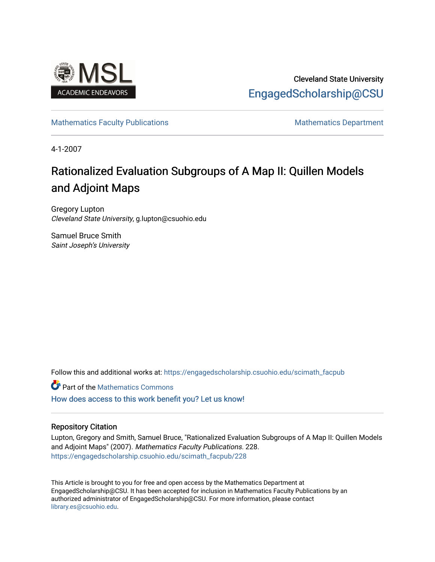

## Cleveland State University [EngagedScholarship@CSU](https://engagedscholarship.csuohio.edu/)

## [Mathematics Faculty Publications](https://engagedscholarship.csuohio.edu/scimath_facpub) Mathematics Department

4-1-2007

# Rationalized Evaluation Subgroups of A Map II: Quillen Models and Adjoint Maps

Gregory Lupton Cleveland State University, g.lupton@csuohio.edu

Samuel Bruce Smith Saint Joseph's University

Follow this and additional works at: [https://engagedscholarship.csuohio.edu/scimath\\_facpub](https://engagedscholarship.csuohio.edu/scimath_facpub?utm_source=engagedscholarship.csuohio.edu%2Fscimath_facpub%2F228&utm_medium=PDF&utm_campaign=PDFCoverPages)

**Part of the [Mathematics Commons](http://network.bepress.com/hgg/discipline/174?utm_source=engagedscholarship.csuohio.edu%2Fscimath_facpub%2F228&utm_medium=PDF&utm_campaign=PDFCoverPages)** 

[How does access to this work benefit you? Let us know!](http://library.csuohio.edu/engaged/)

## Repository Citation

Lupton, Gregory and Smith, Samuel Bruce, "Rationalized Evaluation Subgroups of A Map II: Quillen Models and Adjoint Maps" (2007). Mathematics Faculty Publications. 228. [https://engagedscholarship.csuohio.edu/scimath\\_facpub/228](https://engagedscholarship.csuohio.edu/scimath_facpub/228?utm_source=engagedscholarship.csuohio.edu%2Fscimath_facpub%2F228&utm_medium=PDF&utm_campaign=PDFCoverPages) 

This Article is brought to you for free and open access by the Mathematics Department at EngagedScholarship@CSU. It has been accepted for inclusion in Mathematics Faculty Publications by an authorized administrator of EngagedScholarship@CSU. For more information, please contact [library.es@csuohio.edu.](mailto:library.es@csuohio.edu)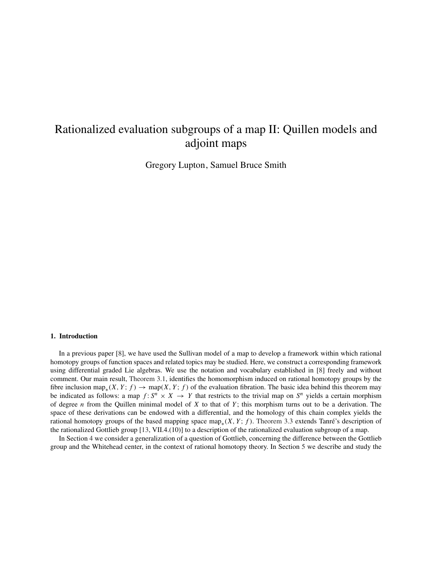# Rationalized evaluation subgroups of a map II: Quillen models and adjoint maps

Gregory Lupton, Samuel Bruce Smith

### 1. Introduction

In a previous paper [8], we have used the Sullivan model of a map to develop a framework within which rational homotopy groups of function spaces and related topics may be studied. Here, we construct a corresponding framework using differential graded Lie algebras. We use the notation and vocabulary established in [8] freely and without comment. Our main result, Theorem 3.1, identifies the homomorphism induced on rational homotopy groups by the fibre inclusion map<sub>∗</sub>(*X*, *Y*; *f*)  $\rightarrow$  map(*X*, *Y*; *f*) of the evaluation fibration. The basic idea behind this theorem may be indicated as follows: a map  $f: S^n \times X \to Y$  that restricts to the trivial map on  $S^n$  yields a certain morphism of degree *n* from the Quillen minimal model of *X* to that of *Y* ; this morphism turns out to be a derivation. The space of these derivations can be endowed with a differential, and the homology of this chain complex yields the rational homotopy groups of the based mapping space map<sub>\*</sub>(*X*, *Y*; *f*). Theorem 3.3 extends Tanré's description of the rationalized Gottlieb group [13, VII.4.(10)] to a description of the rationalized evaluation subgroup of a map.

In Section 4 we consider a generalization of a question of Gottlieb, concerning the difference between the Gottlieb group and the Whitehead center, in the context of rational homotopy theory. In Section 5 we describe and study the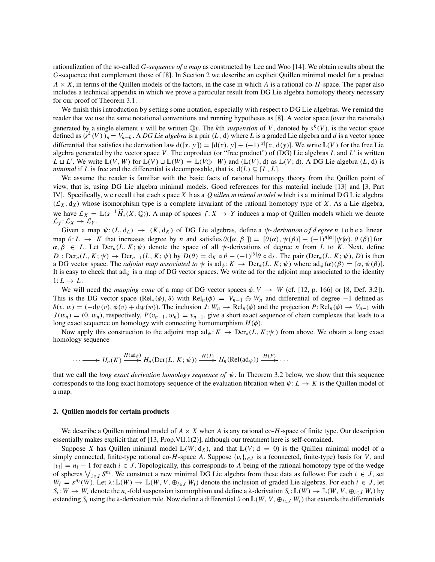rationalization of the so-called *G*-*sequence of a map* as constructed by Lee and Woo [14]. We obtain results about the *G*-sequence that complement those of [8]. In Section 2 we describe an explicit Quillen minimal model for a product  $A \times X$ , in terms of the Quillen models of the factors, in the case in which *A* is a rational co-*H*-space. The paper also includes a technical appendix in which we prove a particular result from DG Lie algebra homotopy theory necessary for our proof of Theorem 3.1.

We finish this introduction by setting some notation, especially with respect to DG Lie algebras. We remind the reader that we use the same notational conventions and running hypotheses as [8]. A vector space (over the rationals) generated by a single element v will be written  $\mathbb{Q}v$ . The *k*th *suspension* of V, denoted by  $s^k(V)$ , is the vector space defined as  $(s^k(V))_n = V_{n-k}$ . A *DG Lie algebra* is a pair  $(L, d)$  where *L* is a graded Lie algebra and *d* is a vector space differential that satisfies the derivation law  $d([x, y]) = [d(x), y] + (-1)^{|x|}[x, d(y)]$ . We write  $\mathbb{L}(V)$  for the free Lie algebra generated by the vector space *V*. The coproduct (or "free product") of (DG) Lie algebras *L* and *L* is written  $L \sqcup L'$ . We write  $\mathbb{L}(V, W)$  for  $\mathbb{L}(V) \sqcup \mathbb{L}(W) = \mathbb{L}(V \oplus W)$  and  $(\mathbb{L}(V), d)$  as  $\mathbb{L}(V; d)$ . A DG Lie algebra  $(L, d)$  is *minimal* if *L* is free and the differential is decomposable, that is,  $d(L) \subseteq [L, L]$ .

We assume the reader is familiar with the basic facts of rational homotopy theory from the Quillen point of view, that is, using DG Lie algebra minimal models. Good references for this material include [13] and [3, Part IV]. Specifically, w e r ecall t hat e ach s pace *X* h as a *Q uillen m inimal m odel* w hich i s a m inimal D G L ie algebra  $(\mathcal{L}_X, \mathrm{d}_X)$  whose isomorphism type is a complete invariant of the rational homotopy type of *X*. As a Lie algebra, we have  $\mathcal{L}_X = \mathbb{L}(s^{-1}\widetilde{H}_*(X; \mathbb{Q}))$ . A map of spaces  $f: X \to Y$  induces a map of Quillen models which we denote  $\mathcal{L}_f: \mathcal{L}_X \to \mathcal{L}_Y$ .

Given a map  $\psi$ : (*L*, d<sub>*L*</sub>)  $\rightarrow$  (*K*, d<sub>*K*</sub>) of DG Lie algebras, define a  $\psi$ - *derivation of d egree n* t o b e a linear map  $\theta: L \to K$  that increases degree by *n* and satisfies  $\theta([\alpha, \beta]) = [\theta(\alpha), \psi(\beta)] + (-1)^{n|\alpha|} [\psi(\alpha), \theta(\beta)]$  for  $\alpha, \beta \in L$ . Let  $\text{Der}_n(L, K; \psi)$  denote the space of all  $\psi$ -derivations of degree *n* from *L* to *K*. Next, define  $D: \text{Der}_n(L, K; \psi) \to \text{Der}_{n-1}(L, K; \psi)$  by  $D(\theta) = d_K \circ \theta - (-1)^{|\theta|} \theta \circ d_L$ . The pair  $(\text{Der}_*(L, K; \psi), D)$  is then a DG vector space. The *adjoint map associated to*  $\psi$  is ad<sub> $\psi$ </sub>:  $K \to \text{Der}_*(L, K; \psi)$  where  $\text{ad}_{\psi}(\alpha)(\beta) = [\alpha, \psi(\beta)].$ It is easy to check that  $ad_{\psi}$  is a map of DG vector spaces. We write ad for the adjoint map associated to the identity  $1: L \rightarrow L$ .

We will need the *mapping cone* of a map of DG vector spaces  $\phi: V \to W$  (cf. [12, p. 166] or [8, Def. 3.2]). This is the DG vector space  $(Rel_*(\phi), \delta)$  with  $Rel_n(\phi) = V_{n-1} \oplus W_n$  and differential of degree −1 defined as  $\delta(v, w) = (-\mathrm{d}_V(v), \phi(v) + \mathrm{d}_W(w))$ . The inclusion *J*:  $W_n \to \mathrm{Rel}_n(\phi)$  and the projection  $P: \mathrm{Rel}_n(\phi) \to V_{n-1}$  with  $J(w_n) = (0, w_n)$ , respectively,  $P(v_{n-1}, w_n) = v_{n-1}$ , give a short exact sequence of chain complexes that leads to a long exact sequence on homology with connecting homomorphism  $H(\phi)$ .

Now apply this construction to the adjoint map  $\text{ad}_{\psi} : K \to \text{Der}_*(L, K; \psi)$  from above. We obtain a long exact homology sequence

$$
\cdots \longrightarrow H_n(K) \xrightarrow{H(\text{ad}_{\psi})} H_n(\text{Der}(L, K; \psi)) \xrightarrow{H(J)} H_n(\text{Rel}(\text{ad}_{\psi})) \xrightarrow{H(P)} \cdots
$$

that we call the *long exact derivation homology sequence of* ψ. In Theorem 3.2 below, we show that this sequence corresponds to the long exact homotopy sequence of the evaluation fibration when  $\psi: L \to K$  is the Quillen model of a map.

#### 2. Quillen models for certain products

We describe a Quillen minimal model of  $A \times X$  when A is any rational co-H-space of finite type. Our description essentially makes explicit that of [13, Prop.VII.1(2)], although our treatment here is self-contained.

Suppose *X* has Quillen minimal model  $\mathbb{L}(W; d_X)$ , and that  $\mathbb{L}(V; d = 0)$  is the Quillen minimal model of a simply connected, finite-type rational co-*H*-space *A*. Suppose  $\{v_i\}_{i \in J}$  is a (connected, finite-type) basis for *V*, and  $|v_i| = n_i - 1$  for each  $i \in J$ . Topologically, this corresponds to *A* being of the rational homotopy type of the wedge of spheres  $\bigvee_{i \in J} S^{n_i}$ . We construct a new minimal DG Lie algebra from these data as follows: For each  $i \in J$ , set  $W_i = s^{n_i}(W)$ . Let  $\lambda: \mathbb{L}(W) \to \mathbb{L}(W, V, \bigoplus_{i \in J} W_i)$  denote the inclusion of graded Lie algebras. For each  $i \in J$ , let  $S_i: W \to W_i$  denote the  $n_i$ -fold suspension isomorphism and define a  $\lambda$ -derivation  $S_i: \mathbb{L}(W) \to \mathbb{L}(W, V, \bigoplus_{i \in J} W_i)$  by extending  $S_i$  using the  $\lambda$ -derivation rule. Now define a differential ∂ on  $\mathbb{L}(W, V, \bigoplus_{i \in J} W_i)$  that extends the differentials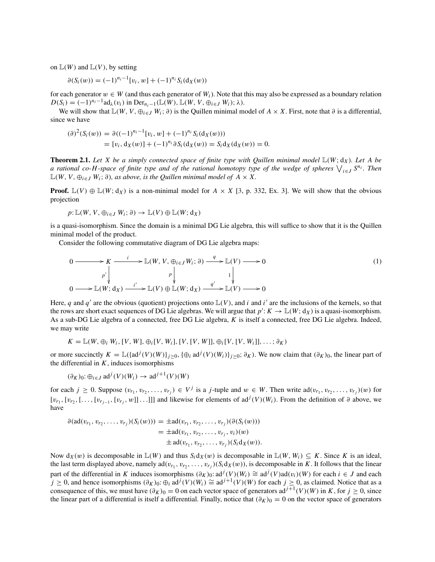on  $\mathbb{L}(W)$  and  $\mathbb{L}(V)$ , by setting

$$
\partial(S_i(w)) = (-1)^{n_i-1} [v_i, w] + (-1)^{n_i} S_i(\mathrm{d}_X(w))
$$

for each generator  $w \in W$  (and thus each generator of  $W_i$ ). Note that this may also be expressed as a boundary relation  $D(S_i) = (-1)^{n_i-1} \text{ad}_{\lambda}(v_i)$  in  $\text{Der}_{n_i-1}(\mathbb{L}(W), \mathbb{L}(W, V, \bigoplus_{i \in J} W_i); \lambda).$ 

We will show that  $\mathbb{L}(W, V, \oplus_{i \in J} W_i; \partial)$  is the Quillen minimal model of  $A \times X$ . First, note that  $\partial$  is a differential, since we have

$$
(\partial)^2 (S_i(w)) = \partial ((-1)^{n_i-1} [v_i, w] + (-1)^{n_i} S_i(\mathrm{d}_X(w)))
$$
  
= 
$$
[v_i, \mathrm{d}_X(w)] + (-1)^{n_i} \partial S_i(\mathrm{d}_X(w)) = S_i \mathrm{d}_X(\mathrm{d}_X(w)) = 0.
$$

**Theorem 2.1.** Let X be a simply connected space of finite type with Quillen minimal model  $\mathbb{L}(W; d_X)$ . Let A be *a rational co-H-space of finite type and of the rational homotopy type of the wedge of spheres*  $\bigvee_{i\in J} S^{n_i}$ *. Then*  $\mathbb{L}(W, V, \bigoplus_{i \in J} W_i; \partial)$ , as above, is the Quillen minimal model of  $A \times X$ .

**Proof.**  $\mathbb{L}(V) \oplus \mathbb{L}(W; d_X)$  is a non-minimal model for  $A \times X$  [3, p. 332, Ex. 3]. We will show that the obvious projection

$$
p: \mathbb{L}(W, V, \oplus_{i \in J} W_i; \partial) \to \mathbb{L}(V) \oplus \mathbb{L}(W; \mathrm{d}_X)
$$

is a quasi-isomorphism. Since the domain is a minimal DG Lie algebra, this will suffice to show that it is the Quillen minimal model of the product.

Consider the following commutative diagram of DG Lie algebra maps:

$$
0 \longrightarrow K \longrightarrow L(W, V, \oplus_{i \in J} W_i; \partial) \longrightarrow L(V) \longrightarrow 0
$$
  
\n
$$
p' \downarrow \qquad p \downarrow \qquad 1 \downarrow \qquad 0 \longrightarrow L(W; d_X) \longrightarrow L(V) \oplus L(W; d_X) \longrightarrow L(V) \longrightarrow 0
$$
  
\n(1)

Here, *q* and *q'* are the obvious (quotient) projections onto  $\mathbb{L}(V)$ , and *i* and *i'* are the inclusions of the kernels, so that the rows are short exact sequences of DG Lie algebras. We will argue that  $p': K \to \mathbb{L}(W; d_X)$  is a quasi-isomorphism. As a sub-DG Lie algebra of a connected, free DG Lie algebra, *K* is itself a connected, free DG Lie algebra. Indeed, we may write

$$
K = \mathbb{L}(W, \oplus_i W_i, [V, W], \oplus_i [V, W_i], [V, [V, W]], \oplus_i [V, [V, W_i]], \ldots; \partial_K)
$$

or more succinctly  $K = \mathbb{L}(\text{ad}^j(V)(W))_{j \geq 0}$ ,  $\{\oplus_i \text{ad}^j(V)(W_i)\}_{j \geq 0}$ ; ∂<sub>K</sub>). We now claim that  $(\partial_K)_0$ , the linear part of the differential in  $K$ , induces isomorphisms

$$
(\partial_K)_0: \oplus_{i \in J} \mathrm{ad}^j(V)(W_i) \to \mathrm{ad}^{j+1}(V)(W)
$$

for each  $j \ge 0$ . Suppose  $(v_{r_1}, v_{r_2}, \ldots, v_{r_j}) \in V^j$  is a *j*-tuple and  $w \in W$ . Then write ad $(v_{r_1}, v_{r_2}, \ldots, v_{r_j})(w)$  for  $[v_{r_1}, [v_{r_2}, [..., [v_{r_j}, w]]...]]]$  and likewise for elements of ad<sup>j</sup> $(V)(W_i)$ . From the definition of ∂ above, we have

$$
\partial(\text{ad}(v_{r_1}, v_{r_2}, \dots, v_{r_j})(S_i(w))) = \pm \text{ad}(v_{r_1}, v_{r_2}, \dots, v_{r_j})(\partial(S_i(w)))
$$
  
= 
$$
\pm \text{ad}(v_{r_1}, v_{r_2}, \dots, v_{r_j}, v_i)(w)
$$
  

$$
\pm \text{ad}(v_{r_1}, v_{r_2}, \dots, v_{r_j})(S_i \text{d} x(w)).
$$

Now  $d_X(w)$  is decomposable in  $\mathbb{L}(W)$  and thus  $S_i d_X(w)$  is decomposable in  $\mathbb{L}(W, W_i) \subseteq K$ . Since K is an ideal, the last term displayed above, namely ad $(v_{r_1}, v_{r_2}, \ldots, v_{r_j})(S_i d_X(w))$ , is decomposable in *K*. It follows that the linear part of the differential in *K* induces isomorphisms  $(\partial_K)_0$ : ad<sup>*j*</sup>(*V*)(*W<sub>i</sub>*)  $\cong$  ad<sup>*j*</sup>(*V*)ad(*v<sub>i</sub>*)(*W*) for each *i* ∈ *J* and each *j* ≥ 0, and hence isomorphisms  $(\partial_K)_0$ : ⊕*i* ad<sup>*j*</sup>(*V*)(*Wi*) ≅ ad<sup>*j*+1</sup>(*V*)(*W*) for each *j* ≥ 0, as claimed. Notice that as a consequence of this, we must have  $(\partial_K)_0 = 0$  on each vector space of generators ad<sup>j+1</sup>(*V*)(*W*) in *K*, for  $j \ge 0$ , since the linear part of a differential is itself a differential. Finally, notice that  $(\partial_K)_0 = 0$  on the vector space of generators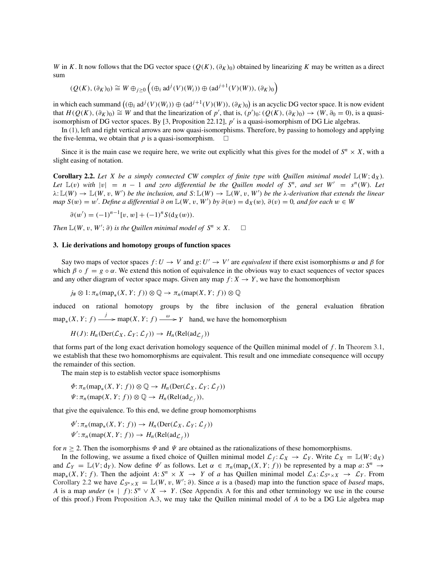*W* in *K*. It now follows that the DG vector space  $(Q(K), (\partial_K)_0)$  obtained by linearizing *K* may be written as a direct sum

$$
(Q(K), (\partial_K)_0) \cong W \oplus_{j \ge 0} \left( (\oplus_i \mathrm{ad}^j(V)(W_i)) \oplus (\mathrm{ad}^{j+1}(V)(W)), (\partial_K)_0 \right)
$$

in which each summand  $((\oplus_i \text{ad}^j(V)(W_i)) \oplus (\text{ad}^{j+1}(V)(W)), (\partial_K)_0)$  is an acyclic DG vector space. It is now evident that  $H(Q(K), (\partial_K)_0) \cong W$  and that the linearization of *p'*, that is,  $(p')_0: (Q(K), (\partial_K)_0) \to (W, \partial_0 = 0)$ , is a quasiisomorphism of DG vector spaces. By [3, Proposition 22.12], *p* is a quasi-isomorphism of DG Lie algebras.

In (1), left and right vertical arrows are now quasi-isomorphisms. Therefore, by passing to homology and applying the five-lemma, we obtain that  $p$  is a quasi-isomorphism.  $\Box$ 

Since it is the main case we require here, we write out explicitly what this gives for the model of  $S^n \times X$ , with a slight easing of notation.

**Corollary 2.2.** Let X be a simply connected CW complex of finite type with Quillen minimal model  $\mathbb{L}(W; d_X)$ . *Let*  $\mathbb{L}(v)$  *with*  $|v| = n - 1$  *and zero differential be the Quillen model of*  $S^n$ *, and set*  $W' = s^n(W)$ *. Let*  $\lambda: \mathbb{L}(W) \to \mathbb{L}(W, v, W')$  be the inclusion, and  $S: \mathbb{L}(W) \to \mathbb{L}(W, v, W')$  be the  $\lambda$ -derivation that extends the linear *map*  $S(w) = w'$ . Define a differential ∂ on  $\mathbb{L}(W, v, W')$  by  $\partial(w) = d_X(w)$ ,  $\partial(v) = 0$ , and for each  $w \in W$ 

$$
\partial(w') = (-1)^{n-1} [v, w] + (-1)^n S(d_X(w)).
$$

*Then*  $\mathbb{L}(W, v, W'; \partial)$  *is the Quillen minimal model of*  $S^n \times X$ .  $\Box$ 

#### 3. Lie derivations and homotopy groups of function spaces

Say two maps of vector spaces  $f: U \to V$  and  $g: U' \to V'$  are *equivalent* if there exist isomorphisms  $\alpha$  and  $\beta$  for which  $\beta \circ f = g \circ \alpha$ . We extend this notion of equivalence in the obvious way to exact sequences of vector spaces and any other diagram of vector space maps. Given any map  $f: X \to Y$ , we have the homomorphism

$$
j_{\#} \otimes 1: \pi_n(\text{map}_*(X, Y; f)) \otimes \mathbb{Q} \to \pi_n(\text{map}(X, Y; f)) \otimes \mathbb{Q}
$$

induced on rational homotopy groups by the fibre inclusion of the general evaluation fibration  $map_*(X, Y; f) \xrightarrow{j} \text{map}(X, Y; f) \xrightarrow{\omega} Y$  hand, we have the homomorphism

$$
H(J): H_n(\mathrm{Der}(\mathcal{L}_X, \mathcal{L}_Y; \mathcal{L}_f)) \to H_n(\mathrm{Rel}(\mathrm{ad}_{\mathcal{L}_f}))
$$

that forms part of the long exact derivation homology sequence of the Quillen minimal model of *f* . In Theorem 3.1, we establish that these two homomorphisms are equivalent. This result and one immediate consequence will occupy the remainder of this section.

The main step is to establish vector space isomorphisms

$$
\Phi: \pi_n(\text{map}_*(X, Y; f)) \otimes \mathbb{Q} \to H_n(\text{Der}(\mathcal{L}_X, \mathcal{L}_Y; \mathcal{L}_f))
$$
  

$$
\Psi: \pi_n(\text{map}(X, Y; f)) \otimes \mathbb{Q} \to H_n(\text{Rel}(\text{ad}_{\mathcal{L}_f})),
$$

that give the equivalence. To this end, we define group homomorphisms

$$
\Phi': \pi_n(\text{map}_*(X, Y; f)) \to H_n(\text{Der}(\mathcal{L}_X, \mathcal{L}_Y; \mathcal{L}_f))
$$
  

$$
\Psi': \pi_n(\text{map}(X, Y; f)) \to H_n(\text{Rel}(ad_{\mathcal{L}_f}))
$$

for  $n \geq 2$ . Then the isomorphisms  $\Phi$  and  $\Psi$  are obtained as the rationalizations of these homomorphisms.

In the following, we assume a fixed choice of Quillen minimal model  $\mathcal{L}_f: \mathcal{L}_X \to \mathcal{L}_Y$ . Write  $\mathcal{L}_X = \mathbb{L}(W; d_X)$ and  $\mathcal{L}_Y = \mathbb{L}(V; d_Y)$ . Now define  $\Phi'$  as follows. Let  $\alpha \in \pi_n(\text{map}_*(X, Y; f))$  be represented by a map  $a: S^n \to S$ map<sub>\*</sub>(*X*, *Y*; *f*). Then the adjoint *A*:  $S^n$  × *X* → *Y* of *a* has Quillen minimal model  $\mathcal{L}_A: \mathcal{L}_{S^n \times X}$  →  $\mathcal{L}_Y$ . From Corollary 2.2 we have  $\mathcal{L}_{S^n \times X} = \mathbb{L}(W, v, W'; \partial)$ . Since *a* is a (based) map into the function space of *based* maps, *A* is a map *under* (\* | *f*):  $S^n \vee X \rightarrow Y$ . (See Appendix A for this and other terminology we use in the course of this proof.) From Proposition A.3, we may take the Quillen minimal model of *A* to be a DG Lie algebra map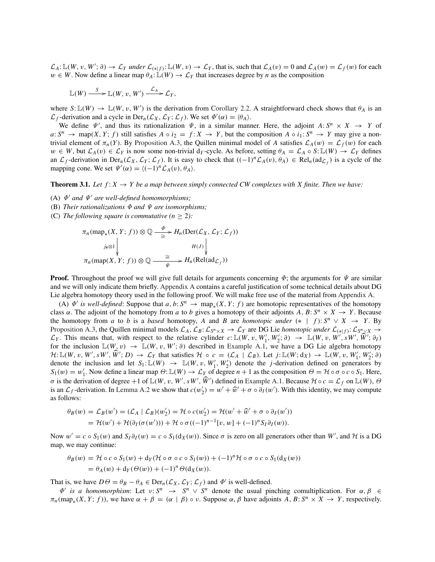$\mathcal{L}_A: \mathbb{L}(W, v, W'; \partial) \to \mathcal{L}_Y$  *under*  $\mathcal{L}_{(*|f)}: \mathbb{L}(W, v) \to \mathcal{L}_Y$ , that is, such that  $\mathcal{L}_A(v) = 0$  and  $\mathcal{L}_A(w) = \mathcal{L}_f(w)$  for each  $w \in W$ . Now define a linear map  $\theta_A: \mathbb{L}(W) \to \mathcal{L}_Y$  that increases degree by *n* as the composition

$$
\mathbb{L}(W) \xrightarrow{S} \mathbb{L}(W, v, W') \xrightarrow{\mathcal{L}_A} \mathcal{L}_Y,
$$

where  $S: \mathbb{L}(W) \to \mathbb{L}(W, v, W')$  is the derivation from Corollary 2.2. A straightforward check shows that  $\theta_A$  is an  $\mathcal{L}_f$ -derivation and a cycle in  $\text{Der}_n(\mathcal{L}_X, \mathcal{L}_Y; \mathcal{L}_f)$ . We set  $\Phi'(\alpha) = \langle \theta_A \rangle$ .

We define  $\Psi'$ , and thus its rationalization  $\Psi$ , in a similar manner. Here, the adjoint  $A: S^n \times X \to Y$  of  $a: S^n \to \text{map}(X, Y; f)$  still satisfies  $A \circ i_2 = f: X \to Y$ , but the composition  $A \circ i_1: S^n \to Y$  may give a nontrivial element of  $\pi_n(Y)$ . By Proposition A.3, the Quillen minimal model of *A* satisfies  $\mathcal{L}_A(w) = \mathcal{L}_f(w)$  for each  $w \in W$ , but  $\mathcal{L}_A(v) \in \mathcal{L}_Y$  is now some non-trivial d<sub>*Y*</sub>-cycle. As before, setting  $\theta_A = \mathcal{L}_A \circ S: \mathbb{L}(W) \to \mathcal{L}_Y$  defines an  $\mathcal{L}_f$ -derivation in Der<sub>n</sub>( $\mathcal{L}_X$ ,  $\mathcal{L}_Y$ ;  $\mathcal{L}_f$ ). It is easy to check that  $((-1)^n \mathcal{L}_A(v), \theta_A) \in \text{Rel}_n(\text{ad}_{\mathcal{L}_f})$  is a cycle of the mapping cone. We set  $\Psi'(\alpha) = \langle (-1)^n \mathcal{L}_A(v), \theta_A \rangle$ .

**Theorem 3.1.** Let  $f: X \to Y$  be a map between simply connected CW complexes with X finite. Then we have:

- (A)  $\Phi'$  *and*  $\Psi'$  *are well-defined homomorphisms;*
- (B) *Their rationalizations* Φ *and* Ψ *are isomorphisms;*
- (C) The following square is commutative  $(n > 2)$ :

$$
\pi_n(\text{map}_*(X, Y; f)) \otimes \mathbb{Q} \xrightarrow{\Phi} H_n(\text{Der}(\mathcal{L}_X, \mathcal{L}_Y; \mathcal{L}_f))
$$
\n
$$
\downarrow_{\# \otimes 1} \downarrow_{\pi_n(\text{map}(X, Y; f)) \otimes \mathbb{Q} \xrightarrow{\cong} H_n(\text{Rel}(\text{ad}_{\mathcal{L}_f}))
$$

**Proof.** Throughout the proof we will give full details for arguments concerning  $\Phi$ ; the arguments for  $\Psi$  are similar and we will only indicate them briefly. Appendix A contains a careful justification of some technical details about DG Lie algebra homotopy theory used in the following proof. We will make free use of the material from Appendix A.

(A)  $\Phi'$  *is well-defined*: Suppose that *a*, *b*:  $S^n \to \text{map}_*(X, Y; f)$  are homotopic representatives of the homotopy class  $\alpha$ . The adjoint of the homotopy from *a* to *b* gives a homotopy of their adjoints *A*, *B*:  $S^n \times X \rightarrow Y$ . Because the homotopy from *a* to *b* is a *based* homotopy, *A* and *B* are *homotopic under* (\* | *f*):  $S^n \vee X \rightarrow Y$ . By Proposition A.3, the Quillen minimal models  $\mathcal{L}_A$ ,  $\mathcal{L}_B: \mathcal{L}_{S^n \times X} \to \mathcal{L}_Y$  are DG Lie *homotopic under*  $\mathcal{L}_{(*|f)}: \mathcal{L}_{S^n \times X} \to$  $\mathcal{L}_Y$ . This means that, with respect to the relative cylinder  $c: \mathbb{L}(W, v, W'_1, W'_2; \partial) \rightarrow \mathbb{L}(W, v, W', sW', W'; \partial_I)$ for the inclusion  $\mathbb{L}(W, v) \to \mathbb{L}(W, v, W'; \partial)$  described in Example A.1, we have a DG Lie algebra homotopy  $\mathcal{H}: \mathbb{L}(W, v, W', sW', \dot{W}'; D) \to \mathcal{L}_Y$  that satisfies  $\mathcal{H} \circ c = (\mathcal{L}_A \mid \mathcal{L}_B)$ . Let  $j: \mathbb{L}(W; d_X) \to \mathbb{L}(W, v, W'_1, W'_2; \partial)$ denote the inclusion and let  $S_1: \mathbb{L}(W) \to \mathbb{L}(W, v, W'_1, W'_2)$  denote the *j*-derivation defined on generators by  $S_1(w) = w'_1$ . Now define a linear map  $\Theta: \mathbb{L}(W) \to \mathcal{L}_Y$  of degree  $n+1$  as the composition  $\Theta = \mathcal{H} \circ \sigma \circ c \circ S_1$ . Here, *σ* is the derivation of degree +1 of  $\mathbb{L}(W, v, W', sW', \dot{W}')$  defined in Example A.1. Because  $\mathcal{H} \circ c = \mathcal{L}_f$  on  $\mathbb{L}(W)$ ,  $\Theta$ is an  $\mathcal{L}_f$ -derivation. In Lemma A.2 we show that  $c(w'_2) = w' + \widehat{w}' + \sigma \circ \partial_I(w')$ . With this identity, we may compute as follows:

$$
\theta_B(w) = \mathcal{L}_B(w') = (\mathcal{L}_A \mid \mathcal{L}_B)(w'_2) = \mathcal{H} \circ c(w'_2) = \mathcal{H}(w' + \widehat{w}' + \sigma \circ \partial_I(w'))
$$
  
=  $\mathcal{H}(w') + \mathcal{H}(\partial_I(\sigma(w'))) + \mathcal{H} \circ \sigma((-1)^{n-1}[v, w] + (-1)^n S_I \partial_I(w)).$ 

Now  $w' = c \circ S_1(w)$  and  $S_I \partial_I(w) = c \circ S_1(d_X(w))$ . Since  $\sigma$  is zero on all generators other than W', and H is a DG map, we may continue:

$$
\theta_B(w) = \mathcal{H} \circ c \circ S_1(w) + d_Y(\mathcal{H} \circ \sigma \circ c \circ S_1(w)) + (-1)^n \mathcal{H} \circ \sigma \circ c \circ S_1(d_X(w))
$$
  
=  $\theta_A(w) + d_Y(\Theta(w)) + (-1)^n \Theta(d_X(w)).$ 

That is, we have  $D\Theta = \theta_B - \theta_A \in \text{Der}_n(\mathcal{L}_X, \mathcal{L}_Y; \mathcal{L}_f)$  and  $\Phi'$  is well-defined.

 $\Phi'$  *is a homomorphism*: Let  $v: S^n \to S^n \vee S^n$  denote the usual pinching comultiplication. For  $\alpha, \beta \in$  $\pi_n(\text{map}_*(X, Y; f))$ , we have  $\alpha + \beta = (\alpha \mid \beta) \circ \nu$ . Suppose  $\alpha, \beta$  have adjoints  $A, B: S^n \times X \to Y$ , respectively.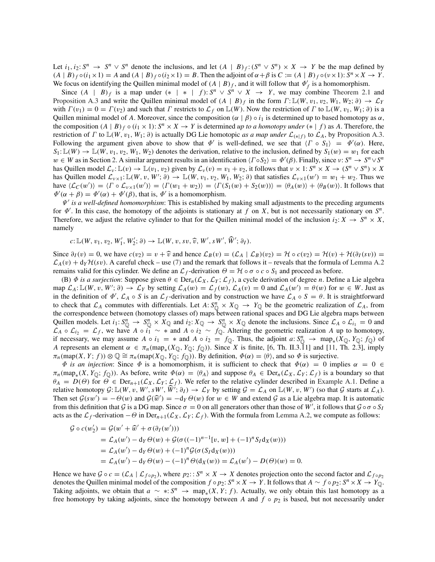Let  $i_1, i_2: S^n \rightarrow S^n \vee S^n$  denote the inclusions, and let  $(A | B)_f: (S^n \vee S^n) \times X \rightarrow Y$  be the map defined by  $(A | B)$   $\circ$   $(i_1 \times 1) = A$  and  $(A | B)$   $\circ$   $(i_2 \times 1) = B$ . Then the adjoint of  $\alpha + \beta$  is  $C := (A | B)$   $\circ$   $(v \times 1)$ :  $S^n \times X \rightarrow Y$ . We focus on identifying the Quillen minimal model of  $(A | B)_f$ , and it will follow that  $\Phi'_f$  is a homomorphism.

Since  $(A | B)_f$  is a map under  $(* | * | f): S^n \vee S^n \vee X \rightarrow Y$ , we may combine Theorem 2.1 and Proposition A.3 and write the Quillen minimal model of  $(A | B)_f$  in the form  $\Gamma: \mathbb{L}(W, v_1, v_2, W_1, W_2; \partial) \to \mathcal{L}_Y$ with  $\Gamma(v_1) = 0 = \Gamma(v_2)$  and such that  $\Gamma$  restricts to  $\mathcal{L}_f$  on  $\mathbb{L}(W)$ . Now the restriction of  $\Gamma$  to  $\mathbb{L}(W, v_1, W_1; \partial)$  is a Quillen minimal model of *A*. Moreover, since the composition ( $\alpha | \beta$ )  $\circ i_1$  is determined up to based homotopy as  $\alpha$ , the composition  $(A | B)_f \circ (i_1 \times 1)$ :  $S^n \times X \to Y$  is determined *up to a homotopy under*  $(* | f)$  as A. Therefore, the restriction of  $\Gamma$  to  $\mathbb{L}(W, v_1, W_1; \partial)$  is actually DG Lie homotopic *as a map under*  $\mathcal{L}_{(*|f)}$  to  $\mathcal{L}_A$ , by Proposition A.3. Following the argument given above to show that  $\Phi'$  is well-defined, we see that  $\langle \Gamma \circ S_1 \rangle = \Phi'(\alpha)$ . Here,  $S_1: \mathbb{L}(W) \to \mathbb{L}(W, v_1, v_2, W_1, W_2)$  denotes the derivation, relative to the inclusion, defined by  $S_1(w) = w_1$  for each  $w \in W$  as in Section 2. A similar argument results in an identification  $\langle \Gamma \circ S_2 \rangle = \Phi'(\beta)$ . Finally, since  $v: S^n \to S^n \vee S^n$ has Quillen model  $\mathcal{L}_v : \mathbb{L}(v) \to \mathbb{L}(v_1, v_2)$  given by  $\mathcal{L}_v(v) = v_1 + v_2$ , it follows that  $v \times 1: S^n \times X \to (S^n \vee S^n) \times X$ has Quillen model  $\mathcal{L}_{\nu \times 1}$ :  $\mathbb{L}(W, v, W'; \partial) \to \mathbb{L}(W, v_1, v_2, W_1, W_2; \partial)$  that satisfies  $\mathcal{L}_{\nu \times 1}(w') = w_1 + w_2$ . Thus we have  $\langle \mathcal{L}_C(w') \rangle = \langle \Gamma \circ \mathcal{L}_{v \times 1}(w') \rangle = \langle \Gamma(w_1 + w_2) \rangle = \langle \Gamma(S_1(w) + S_2(w)) \rangle = \langle \theta_A(w) \rangle + \langle \theta_B(w) \rangle$ . It follows that  $\Phi'(\alpha + \beta) = \Phi'(\alpha) + \Phi'(\beta)$ , that is,  $\Phi'$  is a homomorphism.

Ψ *is a well-defined homomorphism*: This is established by making small adjustments to the preceding arguments for  $\Phi'$ . In this case, the homotopy of the adjoints is stationary at f on X, but is not necessarily stationary on  $S<sup>n</sup>$ . Therefore, we adjust the relative cylinder to that for the Quillen minimal model of the inclusion  $i_2: X \to S^n \times X$ , namely

$$
c: \mathbb{L}(W, v_1, v_2, W'_1, W'_2; \partial) \to \mathbb{L}(W, v, sv, \widehat{v}, W', sW', \widehat{W}'; \partial_I).
$$

Since  $\partial_I(v) = 0$ , we have  $c(v_2) = v + \hat{v}$  and hence  $\mathcal{L}_B(v) = (\mathcal{L}_A | \mathcal{L}_B)(v_2) = \mathcal{H} \circ c(v_2) = \mathcal{H}(v) + \mathcal{H}(\partial_I(sv)) =$  $\mathcal{L}_A(v) + d_Y \mathcal{H}(sv)$ . A careful check – use (7) and the remark that follows it – reveals that the formula of Lemma A.2 remains valid for this cylinder. We define an  $\mathcal{L}_f$ -derivation  $\Theta = \mathcal{H} \circ \sigma \circ c \circ S_1$  and proceed as before.

(B)  $\Phi$  *is a surjection*: Suppose given  $\theta \in \text{Der}_n(\mathcal{L}_X, \mathcal{L}_Y; \mathcal{L}_f)$ , a cycle derivation of degree *n*. Define a Lie algebra map  $\mathcal{L}_A: \mathbb{L}(W, v, W'; \partial) \to \mathcal{L}_Y$  by setting  $\mathcal{L}_A(w) = \mathcal{L}_f(w)$ ,  $\mathcal{L}_A(v) = 0$  and  $\mathcal{L}_A(w') = \theta(w)$  for  $w \in W$ . Just as in the definition of  $\Phi'$ ,  $\mathcal{L}_A \circ S$  is an  $\mathcal{L}_f$ -derivation and by construction we have  $\mathcal{L}_A \circ S = \theta$ . It is straightforward to check that  $\mathcal{L}_A$  commutes with differentials. Let  $A: S_{\mathbb{Q}}^n \times X_{\mathbb{Q}} \to Y_{\mathbb{Q}}$  be the geometric realization of  $\mathcal{L}_A$ , from the correspondence between (homotopy classes of) maps between rational spaces and DG Lie algebra maps between Quillen models. Let  $i_1: S_{\mathbb{Q}}^n \to S_{\mathbb{Q}}^n \times X_{\mathbb{Q}}$  and  $i_2: X_{\mathbb{Q}} \to S_{\mathbb{Q}}^n \times X_{\mathbb{Q}}$  denote the inclusions. Since  $\mathcal{L}_A \circ \mathcal{L}_{i_1} = 0$  and  $\mathcal{L}_A \circ \mathcal{L}_{i_2} = \mathcal{L}_f$ , we have  $A \circ i_1 \sim *$  and  $A \circ i_2 \sim f_{\mathbb{Q}}$ . Altering the geometric realization  $A$  up to homotopy, if necessary, we may assume  $A \circ i_1 = *$  and  $A \circ i_2 = f_{\mathbb{Q}}$ . Thus, the adjoint  $a: S^n_{\mathbb{Q}} \to \text{map}_*(X_{\mathbb{Q}}, Y_{\mathbb{Q}}; f_{\mathbb{Q}})$  of *A* represents an element  $\alpha \in \pi_n(\text{map}_*(X_{\mathbb{Q}}, Y_{\mathbb{Q}}; f_{\mathbb{Q}}))$ . Since *X* is finite, [6, Th. II.3.11] and [11, Th. 2.3], imply  $\pi_n(\text{map}(X, Y; f)) \otimes \mathbb{Q} \cong \pi_n(\text{map}(X_{\mathbb{Q}}, Y_{\mathbb{Q}}; f_{\mathbb{Q}}))$ . By definition,  $\Phi(\alpha) = \langle \theta \rangle$ , and so  $\Phi$  is surjective.

 $\Phi$  *is an injection*: Since  $\Phi$  is a homomorphism, it is sufficient to check that  $\Phi(\alpha) = 0$  implies  $\alpha = 0 \in$  $\pi_n(\text{map}_*(X, Y_0; f_0))$ . As before, write  $\Phi(\alpha) = \langle \theta_A \rangle$  and suppose  $\theta_A \in \text{Der}_n(\mathcal{L}_X, \mathcal{L}_Y; \mathcal{L}_f)$  is a boundary so that  $\theta_A = D(\theta)$  for  $\theta \in \text{Der}_{n+1}(\mathcal{L}_X, \mathcal{L}_Y; \mathcal{L}_f)$ . We refer to the relative cylinder described in Example A.1. Define a relative homotopy  $\mathcal{G}: \mathbb{L}(W, v, W', sW', \dot{W}'; \partial_I) \to \mathcal{L}_Y$  by setting  $\mathcal{G} = \mathcal{L}_A$  on  $\mathbb{L}(W, v, W')$  (so that  $\mathcal{G}$  starts at  $\mathcal{L}_A$ ). Then set  $G(sw') = -\Theta(w)$  and  $G(\hat{w}') = -d_Y \Theta(w)$  for  $w \in W$  and extend G as a Lie algebra map. It is automatic from this definition that G is a DG map. Since  $\sigma = 0$  on all generators other than those of W', it follows that  $G \circ \sigma \circ S_I$ acts as the  $\mathcal{L}_f$ -derivation  $-\Theta$  in Der<sub>n+1</sub>( $\mathcal{L}_X$ ,  $\mathcal{L}_Y$ ;  $\mathcal{L}_f$ ). With the formula from Lemma A.2, we compute as follows:

$$
\mathcal{G} \circ c(w_2') = \mathcal{G}(w' + \widehat{w}' + \sigma(\partial_I(w'))) \n= \mathcal{L}_A(w') - d_Y \Theta(w) + \mathcal{G}(\sigma((-1)^{n-1}[v, w] + (-1)^n S_I d_X(w))) \n= \mathcal{L}_A(w') - d_Y \Theta(w) + (-1)^n \mathcal{G}(\sigma(S_I d_X(w))) \n= \mathcal{L}_A(w') - d_Y \Theta(w) - (-1)^n \Theta(d_X(w)) = \mathcal{L}_A(w') - D(\Theta)(w) = 0.
$$

Hence we have  $G \circ c = (\mathcal{L}_A \mid \mathcal{L}_{f \circ p_2})$ , where  $p_2: S^n \times X \to X$  denotes projection onto the second factor and  $\mathcal{L}_{f \circ p_2}$ denotes the Quillen minimal model of the composition  $f \circ p_2$ :  $S^n \times X \to Y$ . It follows that  $A \sim f \circ p_2$ :  $S^n \times X \to Y_Q$ . Taking adjoints, we obtain that  $a \sim * : S^n \to \text{map}_*(X, Y; f)$ . Actually, we only obtain this last homotopy as a free homotopy by taking adjoints, since the homotopy between *A* and  $f \circ p_2$  is based, but not necessarily under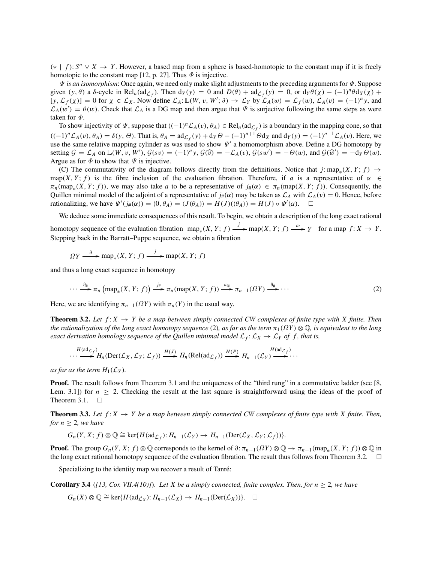(∗ | *<sup>f</sup>* ): *<sup>S</sup><sup>n</sup>* <sup>∨</sup> *<sup>X</sup>* <sup>→</sup> *<sup>Y</sup>* . However, a based map from a sphere is based-homotopic to the constant map if it is freely homotopic to the constant map [12, p. 27]. Thus  $\Phi$  is injective.

Ψ *is an isomorphism*: Once again, we need only make slight adjustments to the preceding arguments for Φ. Suppose given  $(y, \theta)$  a  $\delta$ -cycle in Rel<sub>n</sub>(ad<sub> $\mathcal{L}_f$ </sub>). Then  $d_Y(y) = 0$  and  $D(\theta) + ad_{\mathcal{L}_f}(y) = 0$ , or  $d_Y\theta(\chi) - (-1)^n \theta d_X(\chi) +$  $[y, \mathcal{L}_f(\chi)] = 0$  for  $\chi \in \mathcal{L}_\chi$ . Now define  $\mathcal{L}_A: \mathbb{L}(W, v, W'; \partial) \to \mathcal{L}_Y$  by  $\mathcal{L}_A(w) = \mathcal{L}_f(w), \mathcal{L}_A(v) = (-1)^n y$ , and  $\mathcal{L}_A(w') = \theta(w)$ . Check that  $\mathcal{L}_A$  is a DG map and then argue that  $\Psi$  is surjective following the same steps as were taken for  $\Phi$ .

To show injectivity of  $\Psi$ , suppose that  $((-1)^n \mathcal{L}_A(v), \theta_A) \in Rel_n(\text{ad}_{\mathcal{L}_f})$  is a boundary in the mapping cone, so that  $((-1)^n \mathcal{L}_A(v), \theta_A) = \delta(y, \Theta)$ . That is,  $\theta_A = ad_{\mathcal{L}_f}(y) + d_Y \Theta - (-1)^{n+1} \Theta d_X$  and  $d_Y(y) = (-1)^{n-1} \mathcal{L}_A(v)$ . Here, we use the same relative mapping cylinder as was used to show  $\Psi'$  a homomorphism above. Define a DG homotopy by setting  $G = \mathcal{L}_A$  on  $\mathbb{L}(W, v, W')$ ,  $\mathcal{G}(sv) = (-1)^n y$ ,  $\mathcal{G}(\widehat{v}) = -\mathcal{L}_A(v)$ ,  $\mathcal{G}(sw') = -\Theta(w)$ , and  $\mathcal{G}(\widehat{w}') = -dy \Theta(w)$ . Argue as for  $\Phi$  to show that  $\Psi$  is injective.

(C) The commutativity of the diagram follows directly from the definitions. Notice that  $j: map_*(X, Y; f) \to$ map(*X*, *Y*; *f*) is the fibre inclusion of the evaluation fibration. Therefore, if *a* is a representative of  $\alpha \in$  $\pi_n(\text{map}_*(X, Y; f))$ , we may also take *a* to be a representative of  $j_*(\alpha) \in \pi_n(\text{map}(X, Y; f))$ . Consequently, the Quillen minimal model of the adjoint of a representative of  $j_\#(\alpha)$  may be taken as  $\mathcal{L}_A$  with  $\mathcal{L}_A(v) = 0$ . Hence, before rationalizing, we have  $\Psi'(j_\#(\alpha)) = \langle 0, \theta_A \rangle = \langle J(\theta_A) \rangle = H(J)(\langle \theta_A \rangle) = H(J) \circ \Phi'(\alpha)$ .  $\Box$ 

We deduce some immediate consequences of this result. To begin, we obtain a description of the long exact rational homotopy sequence of the evaluation fibration  $\text{map}_*(X, Y; f) \xrightarrow{j} \text{map}(X, Y; f) \xrightarrow{\omega} Y$  for a map  $f: X \to Y$ . Stepping back in the Barratt–Puppe sequence, we obtain a fibration

$$
\Omega Y \xrightarrow{\partial} \operatorname{map}_*(X, Y; f) \xrightarrow{j} \operatorname{map}(X, Y; f)
$$

and thus a long exact sequence in homotopy

$$
\cdots \xrightarrow{\partial_{\#}} \pi_n \left( \operatorname{map}_*(X, Y; f) \right) \xrightarrow{j_{\#}} \pi_n(\operatorname{map}(X, Y; f)) \xrightarrow{\omega_{\#}} \pi_{n-1}(\Omega Y) \xrightarrow{\partial_{\#}} \cdots
$$
 (2)

Here, we are identifying  $\pi_{n-1}(\Omega Y)$  with  $\pi_n(Y)$  in the usual way.

**Theorem 3.2.** Let  $f: X \rightarrow Y$  be a map between simply connected CW complexes of finite type with X finite. Then *the rationalization of the long exact homotopy sequence* (2), as far as the term  $\pi_1(\Omega Y) \otimes \mathbb{Q}$ , is equivalent to the long *exact derivation homology sequence of the Quillen minimal model*  $\mathcal{L}_f$ :  $\mathcal{L}_X \to \mathcal{L}_Y$  *of f, that is,* 

$$
\cdots \longrightarrow H(\operatorname{ad}_{\mathcal{L}_f})_{H_n}(\operatorname{Der}(\mathcal{L}_X, \mathcal{L}_Y; \mathcal{L}_f)) \xrightarrow{H(J)} H_n(\operatorname{Rel}(\operatorname{ad}_{\mathcal{L}_f})) \xrightarrow{H(P)} H_{n-1}(\mathcal{L}_Y) \longrightarrow H(\operatorname{ad}_{\mathcal{L}_f})
$$

*as far as the term*  $H_1(\mathcal{L}_Y)$ *.* 

**Proof.** The result follows from Theorem 3.1 and the uniqueness of the "third rung" in a commutative ladder (see [8, Lem. 3.1) for  $n > 2$ . Checking the result at the last square is straightforward using the ideas of the proof of Theorem 3.1.  $\Box$ 

**Theorem 3.3.** Let  $f: X \to Y$  be a map between simply connected CW complexes of finite type with X finite. Then, *for*  $n > 2$ *, we have* 

$$
G_n(Y, X; f) \otimes \mathbb{Q} \cong \ker\{H(\mathrm{ad}_{\mathcal{L}_f}) : H_{n-1}(\mathcal{L}_Y) \to H_{n-1}(\mathrm{Der}(\mathcal{L}_X, \mathcal{L}_Y; \mathcal{L}_f))\}.
$$

**Proof.** The group  $G_n(Y, X; f) \otimes \mathbb{Q}$  corresponds to the kernel of  $\partial: \pi_{n-1}(\Omega Y) \otimes \mathbb{Q} \to \pi_{n-1}(\text{map}_*(X, Y; f)) \otimes \mathbb{Q}$  in the long exact rational homotopy sequence of the evaluation fibration. The result thus follows from Theorem 3.2.  $\Box$ 

Specializing to the identity map we recover a result of Tanré:

**Corollary 3.4** ( $[13, \text{Cor }\text{VII.4}(10)]$ ). Let X be a simply connected, finite complex. Then, for  $n \geq 2$ , we have

$$
G_n(X) \otimes \mathbb{Q} \cong \ker\{H(\mathrm{ad}_{\mathcal{L}_X}) : H_{n-1}(\mathcal{L}_X) \to H_{n-1}(\mathrm{Der}(\mathcal{L}_X))\}.\quad \Box
$$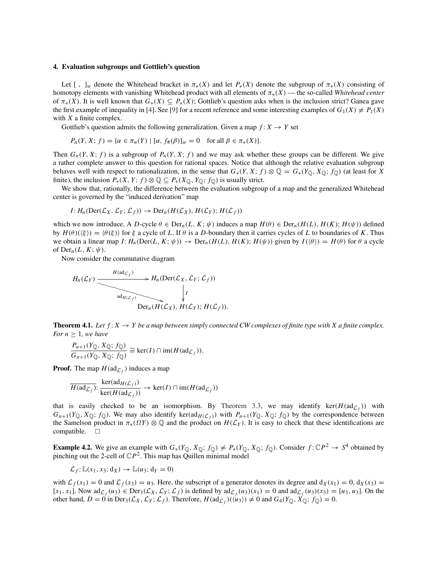#### 4. Evaluation subgroups and Gottlieb's question

Let  $[ , ]_w$  denote the Whitehead bracket in  $\pi_*(X)$  and let  $P_*(X)$  denote the subgroup of  $\pi_*(X)$  consisting of homotopy elements with vanishing Whitehead product with all elements of π∗(*X*) — the so-called *Whitehead center* of  $\pi_*(X)$ . It is well known that  $G_*(X) \subseteq P_*(X)$ ; Gottlieb's question asks when is the inclusion strict? Ganea gave the first example of inequality in [4]. See [9] for a recent reference and some interesting examples of  $G_1(X) \neq P_1(X)$ with *X* a finite complex.

Gottlieb's question admits the following generalization. Given a map  $f: X \to Y$  set

$$
P_n(Y, X; f) = \{ \alpha \in \pi_n(Y) \mid [\alpha, f_{\#}(\beta)]_w = 0 \quad \text{for all } \beta \in \pi_*(X) \}.
$$

Then  $G_n(Y, X; f)$  is a subgroup of  $P_n(Y, X; f)$  and we may ask whether these groups can be different. We give a rather complete answer to this question for rational spaces. Notice that although the relative evaluation subgroup behaves well with respect to rationalization, in the sense that  $G_*(Y, X; f) \otimes \mathbb{Q} = G_*(Y_{\mathbb{Q}}, X_{\mathbb{Q}}; f_{\mathbb{Q}})$  (at least for *X* finite), the inclusion  $P_*(X, Y; f) \otimes \mathbb{Q} \subseteq P_*(X_{\mathbb{Q}}, Y_{\mathbb{Q}}; f_{\mathbb{Q}})$  is usually strict.

We show that, rationally, the difference between the evaluation subgroup of a map and the generalized Whitehead center is governed by the "induced derivation" map

$$
I: H_n(\mathrm{Der}(\mathcal{L}_X, \mathcal{L}_Y; \mathcal{L}_f)) \to \mathrm{Der}_n(H(\mathcal{L}_X), H(\mathcal{L}_Y); H(\mathcal{L}_f))
$$

which we now introduce. A *D*-cycle  $\theta \in \text{Der}_n(L, K; \psi)$  induces a map  $H(\theta) \in \text{Der}_n(H(L), H(K); H(\psi))$  defined by  $H(\theta)(\xi) = \langle \theta(\xi) \rangle$  for  $\xi$  a cycle of *L*. If  $\theta$  is a *D*-boundary then it carries cycles of *L* to boundaries of *K*. Thus we obtain a linear map  $I: H_n(\text{Der}(L, K; \psi)) \to \text{Der}_n(H(L), H(K); H(\psi))$  given by  $I(\langle \theta \rangle) = H(\theta)$  for  $\theta$  a cycle of  $Der_n(L, K; \psi)$ .

Now consider the commutative diagram

$$
H_n(\mathcal{L}_Y) \xrightarrow{H(\text{ad}_{\mathcal{L}_f})} H_n(\text{Der}(\mathcal{L}_X, \mathcal{L}_Y; \mathcal{L}_f))
$$
  
\n
$$
\downarrow
$$
\n
$$
\downarrow
$$
\n
$$
\downarrow
$$
\n
$$
\downarrow
$$
\n
$$
\downarrow
$$
\n
$$
\downarrow
$$
\n
$$
\downarrow
$$
\n
$$
\downarrow
$$
\n
$$
\downarrow
$$
\n
$$
\downarrow
$$
\n
$$
\downarrow
$$
\n
$$
\downarrow
$$
\n
$$
\downarrow
$$
\n
$$
\downarrow
$$
\n
$$
\downarrow
$$
\n
$$
\downarrow
$$
\n
$$
\downarrow
$$
\n
$$
\downarrow
$$
\n
$$
\downarrow
$$
\n
$$
\downarrow
$$
\n
$$
\downarrow
$$
\n
$$
\downarrow
$$
\n
$$
\downarrow
$$
\n
$$
\downarrow
$$
\n
$$
\downarrow
$$
\n
$$
\downarrow
$$
\n
$$
\downarrow
$$
\n
$$
\downarrow
$$
\n
$$
\downarrow
$$
\n
$$
\downarrow
$$
\n
$$
\downarrow
$$
\n
$$
\downarrow
$$
\n
$$
\downarrow
$$
\n
$$
\downarrow
$$
\n
$$
\downarrow
$$
\n
$$
\downarrow
$$
\n
$$
\downarrow
$$
\n
$$
\downarrow
$$
\n
$$
\downarrow
$$
\n
$$
\downarrow
$$
\n
$$
\downarrow
$$
\n
$$
\downarrow
$$
\n
$$
\downarrow
$$
\n
$$
\downarrow
$$
\n
$$
\downarrow
$$
\n
$$
\downarrow
$$
\n
$$
\downarrow
$$
\n
$$
\downarrow
$$
\n
$$
\downarrow
$$
\n
$$
\downarrow
$$
\n
$$
\downarrow
$$
\n
$$
\downarrow
$$
\n
$$
\downarrow
$$
\n
$$
\downarrow
$$
\n
$$
\downarrow
$$
\n
$$
\downarrow
$$
\n
$$
\downarrow
$$
\n
$$
\downarrow
$$

**Theorem 4.1.** Let  $f: X \to Y$  be a map between simply connected CW complexes of finite type with X a finite complex. *For*  $n \geq 1$ *, we have* 

$$
\frac{P_{n+1}(Y_{\mathbb{Q}}, X_{\mathbb{Q}}; f_{\mathbb{Q}})}{G_{n+1}(Y_{\mathbb{Q}}, X_{\mathbb{Q}}; f_{\mathbb{Q}})} \cong \text{ker}(I) \cap \text{im}(H(\text{ad}_{\mathcal{L}_f})).
$$

**Proof.** The map  $H(\text{ad}_{\mathcal{L}_f})$  induces a map

$$
\overline{H(\mathrm{ad}_{\mathcal{L}_f})}\colon \frac{\ker(\mathrm{ad}_{H(\mathcal{L}_f)})}{\ker(H(\mathrm{ad}_{\mathcal{L}_f}))} \to \ker(I) \cap \mathrm{im}(H(\mathrm{ad}_{\mathcal{L}_f}))
$$

that is easily checked to be an isomorphism. By Theorem 3.3, we may identify ker( $H(\text{ad}_{\mathcal{L}_f})$ ) with  $G_{n+1}(Y_{\mathbb{Q}}, X_{\mathbb{Q}}; f_{\mathbb{Q}})$ . We may also identify ker(ad $H(L_f)$ ) with  $P_{n+1}(Y_{\mathbb{Q}}, X_{\mathbb{Q}}; f_{\mathbb{Q}})$  by the correspondence between the Samelson product in  $\pi_*(\Omega Y) \otimes \mathbb{Q}$  and the product on  $H(\mathcal{L}_Y)$ . It is easy to check that these identifications are  $\text{compatible.}$   $\Box$ 

**Example 4.2.** We give an example with  $G_*(Y_{\mathbb{Q}}, X_{\mathbb{Q}}; f_{\mathbb{Q}}) \neq P_*(Y_{\mathbb{Q}}, X_{\mathbb{Q}}; f_{\mathbb{Q}})$ . Consider  $f: \mathbb{C}P^2 \to S^4$  obtained by pinching out the 2-cell of  $\mathbb{C}P^2$ . This map has Quillen minimal model

$$
\mathcal{L}_f: \mathbb{L}(x_1, x_3; \mathrm{d}_X) \to \mathbb{L}(u_3; \mathrm{d}_Y = 0)
$$

with  $\mathcal{L}_f(x_1) = 0$  and  $\mathcal{L}_f(x_3) = u_3$ . Here, the subscript of a generator denotes its degree and  $d_X(x_1) = 0$ ,  $d_X(x_3) =$  $[x_1, x_1]$ . Now  $\mathrm{ad}_{\mathcal{L}_f}(u_3) \in \mathrm{Der}_3(\mathcal{L}_X, \mathcal{L}_Y; \mathcal{L}_f)$  is defined by  $\mathrm{ad}_{\mathcal{L}_f}(u_3)(x_1) = 0$  and  $\mathrm{ad}_{\mathcal{L}_f}(u_3)(x_3) = [u_3, u_3]$ . On the other hand,  $D = 0$  in Der<sub>3</sub>( $\mathcal{L}_X$ ,  $\mathcal{L}_Y$ ;  $\mathcal{L}_f$ ). Therefore,  $H(\text{ad}_{\mathcal{L}_f})(\langle u_3 \rangle) \neq 0$  and  $G_4(Y_Q, X_Q; f_Q) = 0$ .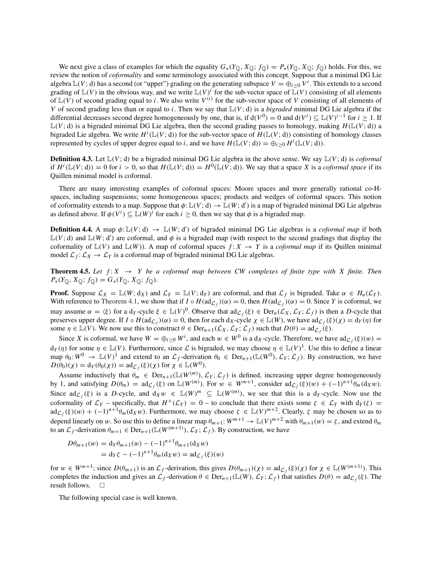We next give a class of examples for which the equality  $G_*(Y_{\mathbb{Q}}, X_{\mathbb{Q}}; f_{\mathbb{Q}}) = P_*(Y_{\mathbb{Q}}, X_{\mathbb{Q}}; f_{\mathbb{Q}})$  holds. For this, we review the notion of *coformality* and some terminology associated with this concept. Suppose that a minimal DG Lie algebra  $\mathbb{L}(V; d)$  has a second (or "upper") grading on the generating subspace  $V = \bigoplus_{i \geq 0} V^i$ . This extends to a second grading of  $\mathbb{L}(V)$  in the obvious way, and we write  $\mathbb{L}(V)^i$  for the sub-vector space of  $\mathbb{L}(V)$  consisting of all elements of  $\mathbb{L}(V)$  of second grading equal to *i*. We also write  $V^{(i)}$  for the sub-vector space of V consisting of all elements of *V* of second grading less than or equal to *i*. Then we say that  $\mathbb{L}(V; d)$  is a *bigraded* minimal DG Lie algebra if the differential decreases second degree homogeneously by one, that is, if  $d(V^0) = 0$  and  $d(V^i) \subseteq L(V)^{i-1}$  for  $i \ge 1$ . If  $\mathbb{L}(V; d)$  is a bigraded minimal DG Lie algebra, then the second grading passes to homology, making  $H(\mathbb{L}(V; d))$  a bigraded Lie algebra. We write  $H^i(\mathbb{L}(V; d))$  for the sub-vector space of  $H(\mathbb{L}(V; d))$  consisting of homology classes represented by cycles of upper degree equal to *i*, and we have  $H(\mathbb{L}(V; d)) = \bigoplus_{i \geq 0} H^i(\mathbb{L}(V; d)).$ 

**Definition 4.3.** Let  $\mathbb{L}(V; d)$  be a bigraded minimal DG Lie algebra in the above sense. We say  $\mathbb{L}(V; d)$  is *coformal* if  $H^i(\mathbb{L}(V; d)) = 0$  for  $i > 0$ , so that  $H(\mathbb{L}(V; d)) = H^0(\mathbb{L}(V; d))$ . We say that a space *X* is a *coformal space* if its Quillen minimal model is coformal.

There are many interesting examples of coformal spaces: Moore spaces and more generally rational co-Hspaces, including suspensions; some homogeneous spaces; products and wedges of coformal spaces. This notion of coformality extends to a map. Suppose that  $\phi: \mathbb{L}(V; d) \to \mathbb{L}(W; d')$  is a map of bigraded minimal DG Lie algebras as defined above. If  $\phi(V^i) \subseteq \mathbb{L}(W)^i$  for each  $i \geq 0$ , then we say that  $\phi$  is a bigraded map.

**Definition 4.4.** A map  $\phi: \mathbb{L}(V; d) \to \mathbb{L}(W; d')$  of bigraded minimal DG Lie algebras is a *coformal map* if both  $\mathbb{L}(V; d)$  and  $\mathbb{L}(W; d')$  are coformal, and  $\phi$  is a bigraded map (with respect to the second gradings that display the coformality of  $\mathbb{L}(V)$  and  $\mathbb{L}(W)$ ). A map of coformal spaces  $f: X \to Y$  is a *coformal map* if its Quillen minimal model  $\mathcal{L}_f: \mathcal{L}_X \to \mathcal{L}_Y$  is a coformal map of bigraded minimal DG Lie algebras.

**Theorem 4.5.** Let  $f: X \rightarrow Y$  be a coformal map between CW complexes of finite type with X finite. Then  $P_*(Y_{\mathbb{Q}}, X_{\mathbb{Q}}; f_{\mathbb{Q}}) = G_*(Y_{\mathbb{Q}}, X_{\mathbb{Q}}; f_{\mathbb{Q}}).$ 

**Proof.** Suppose  $\mathcal{L}_X = \mathbb{L}(W; d_X)$  and  $\mathcal{L}_Y = \mathbb{L}(V; d_Y)$  are coformal, and that  $\mathcal{L}_f$  is bigraded. Take  $\alpha \in H_n(\mathcal{L}_Y)$ . With reference to Theorem 4.1, we show that if  $I \circ H(\text{ad}_{\mathcal{L}_f})(\alpha) = 0$ , then  $H(\text{ad}_{\mathcal{L}_f})(\alpha) = 0$ . Since *Y* is coformal, we may assume  $\alpha = \langle \xi \rangle$  for a d<sub>*Y*</sub>-cycle  $\xi \in \mathbb{L}(V)^0$ . Observe that  $\mathrm{ad}_{\mathcal{L}_f}(\xi) \in \mathrm{Der}_n(\mathcal{L}_X, \mathcal{L}_Y; \mathcal{L}_f)$  is then a *D*-cycle that preserves upper degree. If  $I \circ H(\text{ad}_{\mathcal{L}_f})(\alpha) = 0$ , then for each  $d_X$ -cycle  $\chi \in \mathbb{L}(W)$ , we have  $\text{ad}_{\mathcal{L}_f}(\xi)(\chi) = d_Y(\eta)$  for some  $\eta \in \mathbb{L}(V)$ . We now use this to construct  $\theta \in \text{Der}_{n+1}(\mathcal{L}_X, \mathcal{L}_Y; \mathcal{L}_f)$  such that  $D(\theta) = \text{ad}_{\mathcal{L}_f}(\xi)$ .

Since *X* is coformal, we have  $W = \bigoplus_{i \geq 0} W^i$ , and each  $w \in W^0$  is a d<sub>X</sub>-cycle. Therefore, we have  $\text{ad}_{\mathcal{L}_f}(\xi)(w) =$  $d_Y(\eta)$  for some  $\eta \in \mathbb{L}(V)$ . Furthermore, since  $\mathcal L$  is bigraded, we may choose  $\eta \in \mathbb{L}(V)^1$ . Use this to define a linear map  $\theta_0: W^0 \to \mathbb{L}(V)^1$  and extend to an  $\mathcal{L}_f$ -derivation  $\theta_0 \in \text{Der}_{n+1}(\mathbb{L}(W^0), \mathcal{L}_Y; \mathcal{L}_f)$ . By construction, we have  $D(\theta_0)(\chi) = d_Y(\theta_0(\chi)) = ad_{\mathcal{L}_f}(\xi)(\chi)$  for  $\chi \in \mathbb{L}(W^0)$ .

Assume inductively that  $\theta_m \in \text{Der}_{n+1}(\mathbb{L}(W^{(m)}), \mathcal{L}_Y; \mathcal{L}_f)$  is defined, increasing upper degree homogeneously by 1, and satisfying  $D(\theta_m) = ad_{\mathcal{L}_f}(\xi)$  on  $\mathbb{L}(W^{(m)})$ . For  $w \in W^{m+1}$ , consider  $ad_{\mathcal{L}_f}(\xi)(w) + (-1)^{n+1} \theta_m(d_Xw)$ . Since  $\mathrm{ad}_{\mathcal{L}_f}(\xi)$  is a *D*-cycle, and  $d_Xw \in \mathbb{L}(W)^m \subseteq \mathbb{L}(W^{(m)})$ , we see that this is a  $d_Y$ -cycle. Now use the coformality of  $\mathcal{L}_Y$  – specifically, that  $H^+(\mathcal{L}_Y) = 0$  – to conclude that there exists some  $\zeta \in \mathcal{L}_Y$  with  $d_Y(\zeta) =$  $ad_{\mathcal{L}_f}(\xi)(w) + (-1)^{n+1} \theta_m(d_Xw)$ . Furthermore, we may choose  $\zeta \in \mathbb{L}(V)^{m+2}$ . Clearly,  $\zeta$  may be chosen so as to depend linearly on w. So use this to define a linear map  $\theta_{m+1}: W^{m+1} \to \mathbb{L}(V)^{m+2}$  with  $\theta_{m+1}(w) = \zeta$ , and extend  $\theta_m$ to an  $\mathcal{L}_f$ -derivation  $\theta_{m+1} \in \text{Der}_{n+1}(\mathbb{L}(W^{(m+1)}), \mathcal{L}_Y; \mathcal{L}_f)$ . By construction, we have

$$
D\theta_{m+1}(w) = d_Y \theta_{m+1}(w) - (-1)^{n+1} \theta_{m+1}(d_X w)
$$
  
=  $d_Y \zeta - (-1)^{n+1} \theta_m(d_X w) = ad_{\mathcal{L}_f}(\xi)(w)$ 

for  $w \in W^{m+1}$ ; since  $D(\theta_{m+1})$  is an  $\mathcal{L}_f$ -derivation, this gives  $D(\theta_{m+1})(\chi) = ad_{\mathcal{L}_f}(\xi)(\chi)$  for  $\chi \in \mathbb{L}(W^{(m+1)})$ . This completes the induction and gives an  $\mathcal{L}_f$ -derivation  $\theta \in \text{Der}_{n+1}(\mathbb{L}(W), \mathcal{L}_Y; \mathcal{L}_f)$  that satisfies  $D(\theta) = \text{ad}_{\mathcal{L}_f}(\xi)$ . The result follows. result follows.

The following special case is well known.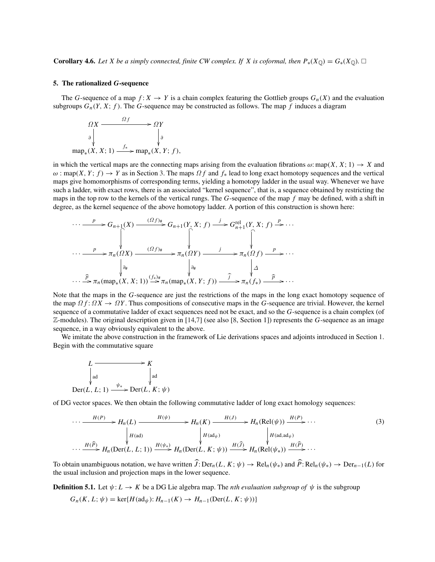**Corollary 4.6.** Let X be a simply connected, finite CW complex. If X is coformal, then  $P_*(X_{\mathbb{Q}}) = G_*(X_{\mathbb{Q}})$ .  $\square$ 

#### 5. The rationalized *G*-sequence

The *G*-sequence of a map  $f: X \to Y$  is a chain complex featuring the Gottlieb groups  $G_n(X)$  and the evaluation subgroups  $G_n(Y, X; f)$ . The *G*-sequence may be constructed as follows. The map *f* induces a diagram

$$
\Omega X \xrightarrow{\Omega f} \Omega Y
$$
\n
$$
\downarrow \qquad \qquad \downarrow \qquad \qquad \downarrow \qquad \downarrow \qquad \downarrow \qquad \downarrow \qquad \downarrow \qquad \downarrow \qquad \downarrow \qquad \downarrow \qquad \downarrow \qquad \downarrow \qquad \downarrow \qquad \downarrow \qquad \downarrow \qquad \downarrow \qquad \downarrow \qquad \downarrow \qquad \downarrow \qquad \downarrow \qquad \downarrow \qquad \downarrow \qquad \downarrow \qquad \downarrow \qquad \downarrow \qquad \downarrow \qquad \downarrow \qquad \downarrow \qquad \downarrow \qquad \downarrow \qquad \downarrow \qquad \downarrow \qquad \downarrow \qquad \downarrow \qquad \downarrow \qquad \downarrow \qquad \downarrow \qquad \downarrow \qquad \downarrow \qquad \downarrow \qquad \downarrow \qquad \downarrow \qquad \downarrow \qquad \downarrow \qquad \downarrow \qquad \downarrow \qquad \downarrow \qquad \downarrow \qquad \downarrow \qquad \downarrow \qquad \downarrow \qquad \downarrow \qquad \downarrow \qquad \downarrow \qquad \downarrow \qquad \downarrow \qquad \downarrow \qquad \downarrow \qquad \downarrow \qquad \downarrow \qquad \downarrow \qquad \downarrow \qquad \downarrow \qquad \downarrow \qquad \downarrow \qquad \downarrow \qquad \downarrow \qquad \downarrow \qquad \downarrow \qquad \downarrow \qquad \downarrow \qquad \downarrow \qquad \downarrow \qquad \downarrow \qquad \downarrow \qquad \downarrow \qquad \downarrow \qquad \downarrow \qquad \downarrow \qquad \downarrow \qquad \downarrow \qquad \downarrow \qquad \downarrow \qquad \downarrow \qquad \downarrow \qquad \downarrow \qquad \downarrow \qquad \downarrow \qquad \downarrow \qquad \downarrow \qquad \downarrow \qquad \downarrow \qquad \downarrow \qquad \downarrow \qquad \downarrow \qquad \downarrow \qquad \downarrow \qquad \downarrow \qquad \downarrow \qquad \downarrow \qquad \downarrow \qquad \downarrow \qquad \downarrow \qquad \downarrow \qquad \downarrow \qquad \downarrow \qquad \downarrow \qquad \downarrow \qquad \downarrow \qquad \downarrow \qquad \downarrow \qquad \downarrow \qquad \downarrow \qquad \downarrow \qquad \downarrow \qquad \downarrow \qquad \downarrow \qquad \downarrow \qquad \downarrow \qquad \downarrow \qquad \downarrow \qquad \downarrow \qquad
$$

in which the vertical maps are the connecting maps arising from the evaluation fibrations  $\omega$ : map(*X*, *X*; 1)  $\rightarrow$  *X* and  $\omega$ : map(*X*, *Y*; *f*)  $\rightarrow$  *Y* as in Section 3. The maps  $\Omega$  *f* and  $f_*$  lead to long exact homotopy sequences and the vertical maps give homomorphisms of corresponding terms, yielding a homotopy ladder in the usual way. Whenever we have such a ladder, with exact rows, there is an associated "kernel sequence", that is, a sequence obtained by restricting the maps in the top row to the kernels of the vertical rungs. The *G*-sequence of the map *f* may be defined, with a shift in degree, as the kernel sequence of the above homotopy ladder. A portion of this construction is shown here:

$$
\cdots \xrightarrow{p} G_{n+1}(X) \xrightarrow{(Gf)^*} G_{n+1}(Y, X; f) \xrightarrow{j} G_{n+1}^{rel}(Y, X; f) \xrightarrow{p} \cdots
$$
  

$$
\cdots \xrightarrow{p} \pi_n(\Omega X) \xrightarrow{(Gf)^*} \pi_n(\Omega Y) \xrightarrow{j} \pi_n(\Omega f) \xrightarrow{p} \cdots
$$
  

$$
\downarrow_{\partial_{\#}} \qquad \qquad \downarrow_{\partial_{\#}} \qquad \qquad \downarrow_{\partial_{\#}} \qquad \qquad \downarrow_{\Delta}
$$
  

$$
\cdots \xrightarrow{\widehat{p}} \pi_n(\text{map}_*(X, X; 1)) \xrightarrow{(f_*)^*} \pi_n(\text{map}_*(X, Y; f)) \xrightarrow{\widehat{f}} \pi_n(f_*) \xrightarrow{\widehat{p}} \cdots
$$

Note that the maps in the *G*-sequence are just the restrictions of the maps in the long exact homotopy sequence of the map  $\Omega f: \Omega X \to \Omega Y$ . Thus compositions of consecutive maps in the *G*-sequence are trivial. However, the kernel sequence of a commutative ladder of exact sequences need not be exact, and so the *G*-sequence is a chain complex (of Z-modules). The original description given in [14,7] (see also [8, Section 1]) represents the *G*-sequence as an image sequence, in a way obviously equivalent to the above.

We imitate the above construction in the framework of Lie derivations spaces and adjoints introduced in Section 1. Begin with the commutative square



of DG vector spaces. We then obtain the following commutative ladder of long exact homology sequences:

$$
\cdots \xrightarrow{H(P)} H_n(L) \xrightarrow{H(\psi)} H_n(K) \xrightarrow{H(J)} H_n(\text{Rel}(\psi)) \xrightarrow{H(P)} \cdots
$$
\n
$$
\downarrow H(\text{ad}) \qquad \qquad H(\text{ad}) \qquad \qquad H(\text{ad}_{\psi}) \qquad \qquad H(\text{ad}_{\psi}) \qquad \qquad H(\text{ad}_{\psi}) \qquad \qquad H(\text{ad}_{\psi}) \qquad \qquad H(\text{ad}_{\psi}) \qquad \qquad H(\text{ad}_{\psi}) \qquad \qquad H(\text{Ad}_{\psi}) \qquad \qquad H(\text{Ad}_{\psi}) \qquad \qquad H(\text{Ad}_{\psi}) \qquad \qquad H(\text{Ad}_{\psi}) \qquad \qquad H(\text{Ad}_{\psi}) \qquad \qquad H(\text{Ad}_{\psi}) \qquad \qquad H(\text{Ad}_{\psi}) \qquad \qquad H(\text{Ad}_{\psi}) \qquad \qquad H(\text{Ad}_{\psi}) \qquad \qquad H(\text{Ad}_{\psi}) \qquad \qquad H(\text{Ad}_{\psi}) \qquad \qquad H(\text{Ad}_{\psi}) \qquad \qquad H(\text{Ad}_{\psi}) \qquad \qquad H(\text{Ad}_{\psi}) \qquad \qquad H(\text{Ad}_{\psi}) \qquad \qquad H(\text{Ad}_{\psi}) \qquad \qquad H(\text{Ad}_{\psi}) \qquad \qquad H(\text{Ad}_{\psi}) \qquad \qquad H(\text{Ad}_{\psi}) \qquad \qquad H(\text{Ad}_{\psi}) \qquad \qquad H(\text{Ad}_{\psi}) \qquad \qquad H(\text{Ad}_{\psi}) \qquad \qquad H(\text{Ad}_{\psi}) \qquad \qquad H(\text{Ad}_{\psi}) \qquad \qquad H(\text{Ad}_{\psi}) \qquad \qquad H(\text{Ad}_{\psi}) \qquad \qquad H(\text{Ad}_{\psi}) \qquad \qquad H(\text{Ad}_{\psi}) \qquad \qquad H(\text{Ad}_{\psi}) \qquad \qquad H(\text{Ad}_{\psi}) \qquad \qquad H(\text{Ad}_{\psi}) \qquad \qquad H(\text{Ad}_{\psi}) \qquad \qquad H(\text{Ad}_{\psi}) \qquad \qquad H(\text{Ad}_{\psi}) \qquad \qquad H(\text{Ad}_{\psi}) \qquad \qquad H(\text{Ad}_{\psi}) \qquad \qquad H(\text{Ad}_{\psi}) \qquad \qquad H(\text{Ad}_{\psi}) \qquad \qquad H(\text{Ad}_{\psi}) \q
$$

To obtain unambiguous notation, we have written  $J: \text{Der}_n(L, K; \psi) \to \text{Rel}_n(\psi_*)$  and  $P: \text{Rel}_n(\psi_*) \to \text{Der}_{n-1}(L)$  for the usual inclusion and projection maps in the lower sequence.

**Definition 5.1.** Let  $\psi: L \to K$  be a DG Lie algebra map. The *nth evaluation subgroup of*  $\psi$  is the subgroup

$$
G_n(K, L; \psi) = \ker\{H(\mathrm{ad}_{\psi}) : H_{n-1}(K) \to H_{n-1}(\mathrm{Der}(L, K; \psi))\}
$$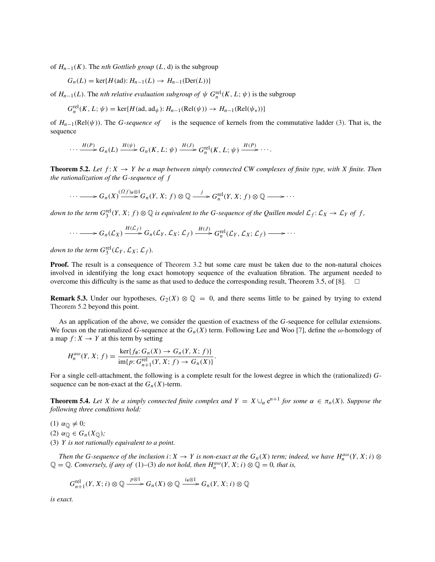of  $H_{n-1}(K)$ . The *nth Gottlieb group*  $(L, d)$  is the subgroup

$$
G_n(L) = \ker\{H(\mathrm{ad}) : H_{n-1}(L) \to H_{n-1}(\mathrm{Der}(L))\}
$$

of  $H_{n-1}(L)$ . The *nth relative evaluation subgroup of*  $\psi$   $G_n^{\text{rel}}(K, L; \psi)$  is the subgroup

$$
G_n^{\text{rel}}(K, L; \psi) = \text{ker}\{H(\text{ad}, \text{ad}_{\psi}) : H_{n-1}(\text{Rel}(\psi)) \to H_{n-1}(\text{Rel}(\psi_*))\}
$$

of *Hn*−1(Rel(ψ)). The *G*-*sequence of* is the sequence of kernels from the commutative ladder (3). That is, the sequence

$$
\cdots \xrightarrow{H(P)} G_n(L) \xrightarrow{H(\psi)} G_n(K, L; \psi) \xrightarrow{H(J)} G_n^{\text{rel}}(K, L; \psi) \xrightarrow{H(P)} \cdots
$$

**Theorem 5.2.** Let  $f: X \rightarrow Y$  be a map between simply connected CW complexes of finite type, with X finite. Then *the rationalization of the G-sequence of f*

$$
\cdots \longrightarrow G_n(X) \xrightarrow{(Gf)_\# \otimes 1} G_n(Y, X; f) \otimes \mathbb{Q} \xrightarrow{j} G_n^{\text{rel}}(Y, X; f) \otimes \mathbb{Q} \longrightarrow \cdots
$$

down to the term  $G_3^{\text{rel}}(Y,X;f)\otimes\mathbb{Q}$  is equivalent to the G-sequence of the Quillen model  $\mathcal{L}_f\colon\mathcal{L}_X\to\mathcal{L}_Y$  of  $f$ ,

$$
\cdots \longrightarrow G_n(\mathcal{L}_X) \xrightarrow{H(\mathcal{L}_f)} G_n(\mathcal{L}_Y, \mathcal{L}_X; \mathcal{L}_f) \xrightarrow{H(J)} G_n^{\text{rel}}(\mathcal{L}_Y, \mathcal{L}_X; \mathcal{L}_f) \longrightarrow \cdots
$$

down to the term  $G_3^{\text{rel}}(\mathcal{L}_Y, \mathcal{L}_X; \mathcal{L}_f)$ *.* 

Proof. The result is a consequence of Theorem 3.2 but some care must be taken due to the non-natural choices involved in identifying the long exact homotopy sequence of the evaluation fibration. The argument needed to overcome this difficulty is the same as that used to deduce the corresponding result, Theorem 3.5, of [8].  $\Box$ 

**Remark 5.3.** Under our hypotheses,  $G_2(X) \otimes \mathbb{Q} = 0$ , and there seems little to be gained by trying to extend Theorem 5.2 beyond this point.

As an application of the above, we consider the question of exactness of the *G*-sequence for cellular extensions. We focus on the rationalized *G*-sequence at the  $G_n(X)$  term. Following Lee and Woo [7], define the  $\omega$ -homology of a map  $f: X \to Y$  at this term by setting

$$
H_n^{a\omega}(Y, X; f) = \frac{\ker\{f_{\#}: G_n(X) \to G_n(Y, X; f)\}}{\text{im}\{p: G_{n+1}^{\text{rel}}(Y, X; f) \to G_n(X)\}}.
$$

For a single cell-attachment, the following is a complete result for the lowest degree in which the (rationalized) *G*sequence can be non-exact at the  $G_n(X)$ -term.

**Theorem 5.4.** *Let X be a simply connected finite complex and*  $Y = X \cup_{\alpha} e^{n+1}$  *for some*  $\alpha \in \pi_n(X)$ *. Suppose the following three conditions hold:*

(1)  $\alpha_{\mathbb{Q}} \neq 0$ ;

(2)  $\alpha_{\mathbb{O}} \in G_n(X_{\mathbb{O}})$ ;

(3) *Y is not rationally equivalent to a point.*

*Then the G-sequence of the inclusion i*:  $X \to Y$  *is non-exact at the G<sub>n</sub>(X) term; indeed, we have*  $H_n^{a\omega}(Y, X; i)$  ⊗  $\mathbb{Q} = \mathbb{Q}$ . Conversely, if any of (1)–(3) do not hold, then  $H_n^{aw}(Y, X; i) \otimes \mathbb{Q} = 0$ , that is,

$$
G_{n+1}^{\text{rel}}(Y, X; i) \otimes \mathbb{Q} \xrightarrow{p \otimes 1} G_n(X) \otimes \mathbb{Q} \xrightarrow{i_{\#} \otimes 1} G_n(Y, X; i) \otimes \mathbb{Q}
$$

*is exact.*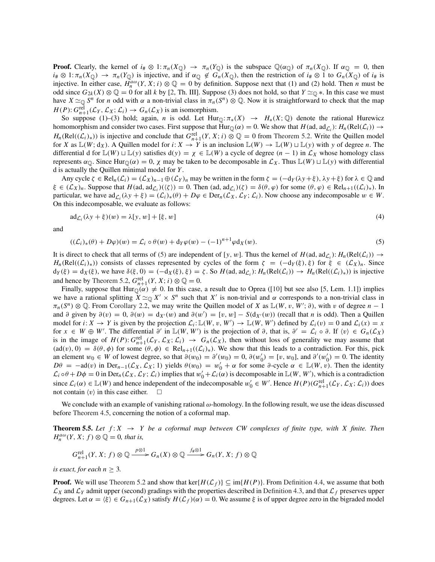**Proof.** Clearly, the kernel of  $i_{\#} \otimes 1$ :  $\pi_n(X_{\mathbb{Q}}) \to \pi_n(Y_{\mathbb{Q}})$  is the subspace  $\mathbb{Q}(\alpha_{\mathbb{Q}})$  of  $\pi_n(X_{\mathbb{Q}})$ . If  $\alpha_{\mathbb{Q}} = 0$ , then  $i_{\#} \otimes 1$ :  $\pi_n(X_{\mathbb{Q}}) \to \pi_n(Y_{\mathbb{Q}})$  is injective, and if  $\alpha_{\mathbb{Q}} \notin G_n(X_{\mathbb{Q}})$ , then the restriction of  $i_{\#} \otimes 1$  to  $G_n(X_{\mathbb{Q}})$  of  $i_{\#}$  is injective. In either case,  $H_n^{a\omega}(Y, X; i) \otimes \mathbb{Q} = 0$  by definition. Suppose next that (1) and (2) hold. Then *n* must be odd since  $G_{2k}(X) \otimes \mathbb{Q} = 0$  for all *k* by [2, Th. III]. Suppose (3) does not hold, so that  $Y \simeq_{\mathbb{Q}} *$ . In this case we must have  $X \simeq_{\mathbb{Q}} S^n$  for *n* odd with  $\alpha$  a non-trivial class in  $\pi_n(S^n) \otimes \mathbb{Q}$ . Now it is straightforward to check that the map  $H(P): G_{n+1}^{\text{rel}}(\mathcal{L}_Y, \mathcal{L}_X; \mathcal{L}_i) \to G_n(\mathcal{L}_X)$  is an isomorphism.

So suppose (1)–(3) hold; again, *n* is odd. Let  $Hur_{\mathbb{Q}}: \pi_*(X) \to H_*(X; \mathbb{Q})$  denote the rational Hurewicz homomorphism and consider two cases. First suppose that  $Hur_{\mathbb{Q}}(\alpha) = 0$ . We show that  $H(\text{ad}, \text{ad}_{\mathcal{L}_i}) : H_n(\text{Rel}(\mathcal{L}_i)) \to$  $H_n(\text{Rel}((\mathcal{L}_i)_*))$  is injective and conclude that  $G_{n+1}^{\text{rel}}(Y, X; i) \otimes \mathbb{Q} = 0$  from Theorem 5.2. Write the Quillen model for *X* as  $\mathbb{L}(W; d_X)$ . A Quillen model for  $i: X \to Y$  is an inclusion  $\mathbb{L}(W) \to \mathbb{L}(W) \sqcup \mathbb{L}(y)$  with *y* of degree *n*. The differential d for  $\mathbb{L}(W) \sqcup \mathbb{L}(y)$  satisfies  $d(y) = \chi \in \mathbb{L}(W)$  a cycle of degree  $(n-1)$  in  $\mathcal{L}_\chi$  whose homology class represents  $α_0$ . Since Hur<sub>Q</sub>( $α$ ) = 0,  $χ$  may be taken to be decomposable in  $\mathcal{L}_X$ . Thus  $\mathbb{L}(W) \sqcup \mathbb{L}(y)$  with differential d is actually the Quillen minimal model for *Y* .

Any cycle  $\zeta \in \text{Rel}_n(\mathcal{L}_i) = (\mathcal{L}_X)_{n-1} \oplus (\mathcal{L}_Y)_n$  may be written in the form  $\zeta = (-d_Y(\lambda y + \xi), \lambda y + \xi)$  for  $\lambda \in \mathbb{Q}$  and  $\xi \in (\mathcal{L}_X)_n$ . Suppose that  $H(\text{ad}, \text{ad}_{\mathcal{L}_i})(\langle \zeta \rangle) = 0$ . Then  $(\text{ad}, \text{ad}_{\mathcal{L}_i})(\zeta) = \delta(\theta, \varphi)$  for some  $(\theta, \varphi) \in \text{Rel}_{n+1}((\mathcal{L}_i)_*, \mathcal{L}_i)$ . particular, we have  $ad_{\mathcal{L}_i}(\lambda y + \xi) = (\mathcal{L}_i)_*(\theta) + D\varphi \in \text{Der}_n(\mathcal{L}_X, \mathcal{L}_Y; \mathcal{L}_i)$ . Now choose any indecomposable  $w \in W$ . On this indecomposable, we evaluate as follows:

$$
ad_{\mathcal{L}_i}(\lambda y + \xi)(w) = \lambda[y, w] + [\xi, w]
$$
\n<sup>(4)</sup>

and

$$
((\mathcal{L}_i)_*(\theta) + D\varphi)(w) = \mathcal{L}_i \circ \theta(w) + d_Y \varphi(w) - (-1)^{n+1} \varphi d_X(w). \tag{5}
$$

It is direct to check that all terms of (5) are independent of [*y*, w]. Thus the kernel of  $H$ (ad, ad<sub>*C*<sub>i</sub></sub>):  $H_n(\text{Rel}(\mathcal{L}_i)) \rightarrow$ *H<sub>n</sub>*(Rel( $(L_i)$ <sub>\*</sub>)) consists of classes represented by cycles of the form  $\zeta = (-d_Y(\xi), \xi)$  for  $\xi \in (L_X)_n$ . Since  $d_Y(\xi) = d_X(\xi)$ , we have  $\delta(\xi, 0) = (-d_X(\xi), \xi) = \zeta$ . So  $H(\text{ad}, \text{ad}_\mathcal{L})$ :  $H_n(\text{Rel}(\mathcal{L}_i)) \to H_n(\text{Rel}((\mathcal{L}_i)_*))$  is injective and hence by Theorem 5.2,  $G_{n+1}^{\text{rel}}(Y, X; i) \otimes \mathbb{Q} = 0.$ 

Finally, suppose that  $Hurv_{\mathbb{Q}}(a) \neq 0$ . In this case, a result due to Oprea ([10] but see also [5, Lem. 1.1]) implies we have a rational splitting  $X \simeq_{\mathbb{Q}} X' \times S^n$  such that  $X'$  is non-trivial and  $\alpha$  corresponds to a non-trivial class in  $\pi_n(S^n) \otimes \mathbb{Q}$ . From Corollary 2.2, we may write the Quillen model of *X* as  $\mathbb{L}(W, v, W'; \partial)$ , with v of degree  $n-1$ and ∂ given by  $\partial(v) = 0$ ,  $\partial(w) = d_{X'}(w)$  and  $\partial(w') = [v, w] - S(d_{X'}(w))$  (recall that *n* is odd). Then a Quillen model for  $i: X \to Y$  is given by the projection  $\mathcal{L}_i: \mathbb{L}(W, v, W') \to \mathbb{L}(W, W')$  defined by  $\mathcal{L}_i(v) = 0$  and  $\mathcal{L}_i(x) = x$ for  $x \in W \oplus W'$ . The differential  $\partial'$  in  $\mathbb{L}(W, W')$  is the projection of  $\partial$ , that is,  $\partial' = \mathcal{L}_i \circ \partial$ . If  $\langle v \rangle \in G_n(\mathcal{L}_X)$ is in the image of  $H(P)$ :  $G_{n+1}^{\text{rel}}(\mathcal{L}_Y, \mathcal{L}_X; \mathcal{L}_i) \rightarrow G_n(\mathcal{L}_X)$ , then without loss of generality we may assume that  $(ad(v), 0) = \delta(\theta, \phi)$  for some  $(\theta, \phi) \in Rel_{n+1}((\mathcal{L}_i)_*)$ . We show that this leads to a contradiction. For this, pick an element  $w_0 \in W$  of lowest degree, so that  $\partial(w_0) = \partial'(w_0) = 0$ ,  $\partial(w'_0) = [v, w_0]$ , and  $\partial'(w'_0) = 0$ . The identity  $D\theta = -ad(v)$  in  $Der_{n-1}(\mathcal{L}_X, \mathcal{L}_X; 1)$  yields  $\theta(w_0) = w'_0 + \alpha$  for some  $\partial$ -cycle  $\alpha \in \mathbb{L}(W, v)$ . Then the identity  $\mathcal{L}_i \circ \theta + D\phi = 0$  in  $\text{Der}_n(\mathcal{L}_X, \mathcal{L}_Y; \mathcal{L}_i)$  implies that  $w'_0 + \mathcal{L}_i(\alpha)$  is decomposable in  $\mathbb{L}(W, W')$ , which is a contradiction since  $\mathcal{L}_i(\alpha) \in \mathbb{L}(W)$  and hence independent of the indecomposable  $w'_0 \in W'$ . Hence  $H(P)(G_{n+1}^{\text{rel}}(\mathcal{L}_Y, \mathcal{L}_X; \mathcal{L}_i))$  does not contain  $\langle v \rangle$  in this case either.  $\Box$ 

We conclude with an example of vanishing rational  $\omega$ -homology. In the following result, we use the ideas discussed before Theorem 4.5, concerning the notion of a coformal map.

**Theorem 5.5.** Let  $f: X \rightarrow Y$  be a coformal map between CW complexes of finite type, with X finite. Then  $H_n^{a\omega}(Y, X; f) \otimes \mathbb{Q} = 0$ , that is,

$$
G_{n+1}^{\text{rel}}(Y, X; f) \otimes \mathbb{Q} \xrightarrow{p \otimes 1} G_n(X) \otimes \mathbb{Q} \xrightarrow{f \notin \otimes 1} G_n(Y, X; f) \otimes \mathbb{Q}
$$

*is exact, for each*  $n > 3$ *.* 

**Proof.** We will use Theorem 5.2 and show that ker{ $H(\mathcal{L}_f)$ }  $\subseteq$  im{ $H(P)$ }. From Definition 4.4, we assume that both  $\mathcal{L}_X$  and  $\mathcal{L}_Y$  admit upper (second) gradings with the properties described in Definition 4.3, and that  $\mathcal{L}_f$  preserves upper degrees. Let  $\alpha = \langle \xi \rangle \in G_{n+1}(\mathcal{L}_X)$  satisfy  $H(\mathcal{L}_f)(\alpha) = 0$ . We assume  $\xi$  is of upper degree zero in the bigraded model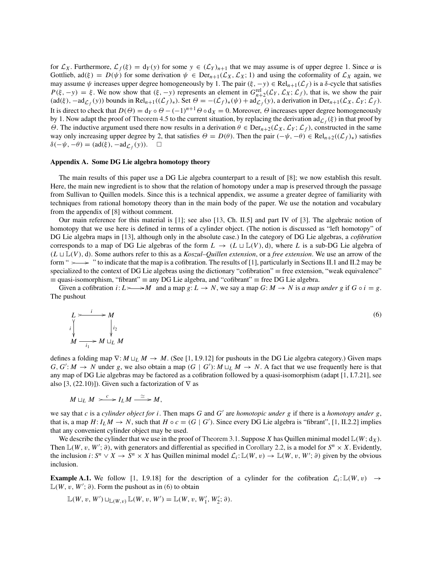for  $\mathcal{L}_X$ . Furthermore,  $\mathcal{L}_f(\xi) = d_Y(y)$  for some  $y \in (\mathcal{L}_Y)_{n+1}$  that we may assume is of upper degree 1. Since  $\alpha$  is Gottlieb,  $ad(\xi) = D(\psi)$  for some derivation  $\psi \in Der_{n+1}(\mathcal{L}_X, \mathcal{L}_X; 1)$  and using the coformality of  $\mathcal{L}_X$  again, we may assume  $\psi$  increases upper degree homogeneously by 1. The pair  $(\xi, -y) \in Rel_{n+1}(\mathcal{L}_f)$  is a  $\delta$ -cycle that satisfies  $P(\xi, -y) = \xi$ . We now show that  $(\xi, -y)$  represents an element in  $G_{n+2}^{\text{rel}}(\mathcal{L}_Y, \mathcal{L}_X; \mathcal{L}_f)$ , that is, we show the pair  $(\text{ad}(\xi), -\text{ad}_{\mathcal{L}_f}(y))$  bounds in  $\text{Rel}_{n+1}((\mathcal{L}_f)_*)$ . Set  $\Theta = -(\mathcal{L}_f)_*(\psi) + \text{ad}_{\mathcal{L}_f}(y)$ , a derivation in  $\text{Der}_{n+1}(\mathcal{L}_X, \mathcal{L}_Y; \mathcal{L}_f)$ . It is direct to check that  $D(\Theta) = d_Y \circ \Theta - (-1)^{n+1} \Theta \circ d_X = 0$ . Moreover,  $\Theta$  increases upper degree homogeneously by 1. Now adapt the proof of Theorem 4.5 to the current situation, by replacing the derivation ad<sub>C  $f(\xi)$ </sub> in that proof by  $Θ$ . The inductive argument used there now results in a derivation  $Θ ∈ Der_{n+2}(L_X, L_Y; L_f)$ , constructed in the same way only increasing upper degree by 2, that satisfies  $\Theta = D(\theta)$ . Then the pair  $(-\psi, -\theta) \in Rel_{n+2}((\mathcal{L}_f)_*)$  satisfies  $\delta(-\psi, -\theta) = (ad(\xi), -ad_{\mathcal{L}_f}(y)).$   $\Box$ 

#### Appendix A. Some DG Lie algebra homotopy theory

The main results of this paper use a DG Lie algebra counterpart to a result of [8]; we now establish this result. Here, the main new ingredient is to show that the relation of homotopy under a map is preserved through the passage from Sullivan to Quillen models. Since this is a technical appendix, we assume a greater degree of familiarity with techniques from rational homotopy theory than in the main body of the paper. We use the notation and vocabulary from the appendix of [8] without comment.

Our main reference for this material is [1]; see also [13, Ch. II.5] and part IV of [3]. The algebraic notion of homotopy that we use here is defined in terms of a cylinder object. (The notion is discussed as "left homotopy" of DG Lie algebra maps in [13], although only in the absolute case.) In the category of DG Lie algebras, a *cofibration* corresponds to a map of DG Lie algebras of the form  $L \rightarrow (L \sqcup \mathbb{L}(V), d)$ , where L is a sub-DG Lie algebra of  $(L \sqcup \mathbb{L}(V), d)$ . Some authors refer to this as a *Koszul–Quillen extension*, or a *free extension*. We use an arrow of the form " $\rightarrow$  " to indicate that the map is a cofibration. The results of [1], particularly in Sections II.1 and II.2 may be specialized to the context of DG Lie algebras using the dictionary "cofibration" ≡ free extension, "weak equivalence" ≡ quasi-isomorphism, "fibrant" ≡ any DG Lie algebra, and "cofibrant" ≡ free DG Lie algebra.

Given a cofibration  $i: L \rightarrow M$  and a map  $g: L \rightarrow N$ , we say a map  $G: M \rightarrow N$  is *a map under g* if  $G \circ i = g$ . The pushout

$$
L \longrightarrow M
$$
  
\n
$$
\downarrow i_2
$$
  
\n
$$
M \longrightarrow M \sqcup_L M
$$
  
\n
$$
(6)
$$
  
\n
$$
\downarrow i_2
$$

defines a folding map  $\nabla$ :  $M \sqcup_L M \to M$ . (See [1, I.9.12] for pushouts in the DG Lie algebra category.) Given maps  $G, G': M \to N$  under *g*, we also obtain a map  $(G \mid G') : M \sqcup_L M \to N$ . A fact that we use frequently here is that any map of DG Lie algebras may be factored as a cofibration followed by a quasi-isomorphism (adapt [1, I.7.21], see also [3, (22.10)]). Given such a factorization of  $\nabla$  as

$$
M \sqcup_L M \longrightarrow^c I_L M \stackrel{\simeq}{\longrightarrow} M,
$$

we say that *c* is a *cylinder object for i*. Then maps *G* and *G* are *homotopic under g* if there is a *homotopy under g*, that is, a map  $H: I_L M \to N$ , such that  $H \circ c = (G \mid G')$ . Since every DG Lie algebra is "fibrant", [1, II.2.2] implies that any convenient cylinder object may be used.

We describe the cylinder that we use in the proof of Theorem 3.1. Suppose *X* has Quillen minimal model  $\mathbb{L}(W; d_X)$ . Then  $\mathbb{L}(W, v, W'; \partial)$ , with generators and differential as specified in Corollary 2.2, is a model for  $S^n \times X$ . Evidently, the inclusion *i*:  $S^n \vee X \to S^n \times X$  has Quillen minimal model  $\mathcal{L}_i: \mathbb{L}(W, v) \to \mathbb{L}(W, v, W'; \partial)$  given by the obvious inclusion.

**Example A.1.** We follow [1, I.9.18] for the description of a cylinder for the cofibration  $\mathcal{L}_i: \mathbb{L}(W, v) \rightarrow$  $\mathbb{L}(W, v, W'; \partial)$ . Form the pushout as in (6) to obtain

$$
\mathbb{L}(W, v, W') \sqcup_{\mathbb{L}(W, v)} \mathbb{L}(W, v, W') = \mathbb{L}(W, v, W'_1, W'_2; \partial).
$$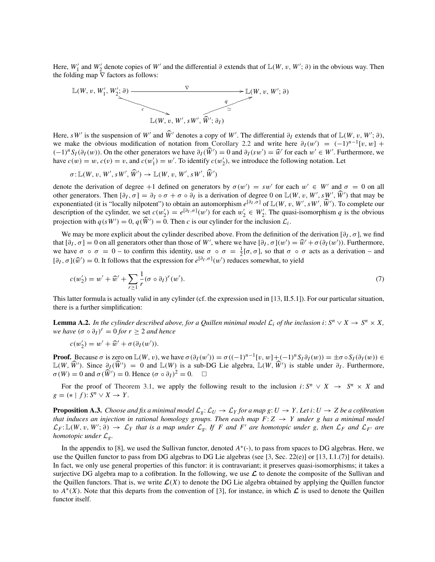Here,  $W'_1$  and  $W'_2$  denote copies of  $W'$  and the differential ∂ extends that of  $\mathbb{L}(W, v, W'; \partial)$  in the obvious way. Then the folding map  $\nabla$  factors as follows:



Here, *sW'* is the suspension of *W'* and  $\hat{W}'$  denotes a copy of *W'*. The differential  $\partial_I$  extends that of  $\mathbb{L}(W, v, W'; \partial)$ , we make the obvious modification of notation from Corollary 2.2 and write here  $\partial_I(w') = (-1)^{n-1}[v, w] +$  $(-1)^n S_I(\partial_I(w))$ . On the other generators we have  $\partial_I(\hat{W}') = 0$  and  $\partial_I(sw') = \hat{w}'$  for each  $w' \in W'$ . Furthermore, we have  $c(w) = w$ ,  $c(v) = v$ , and  $c(w'_1) = w'$ . To identify  $c(w'_2)$ , we introduce the following notation. Let

$$
\sigma: \mathbb{L}(W, v, W', sW', \widehat{W}') \to \mathbb{L}(W, v, W', sW', \widehat{W}')
$$

denote the derivation of degree +1 defined on generators by  $\sigma(w') = sw'$  for each  $w' \in W'$  and  $\sigma = 0$  on all other generators. Then  $[\partial_I, \sigma] = \partial_I \circ \sigma + \sigma \circ \partial_I$  is a derivation of degree 0 on  $\mathbb{L}(W, v, W', sW', W')$  that may be exponentiated (it is "locally nilpotent") to obtain an automorphism  $e^{[\partial_I,\sigma]}$  of  $\mathbb{L}(W, v, W', sW', \widehat{W}')$ . To complete our description of the cylinder, we set  $c(w_2') = e^{\left[\partial_I, \sigma\right]}(w')$  for each  $w_2' \in W_2'$ . The quasi-isomorphism *q* is the obvious projection with  $q(sW') = 0$ ,  $q(W') = 0$ . Then *c* is our cylinder for the inclusion  $\mathcal{L}_i$ .

We may be more explicit about the cylinder described above. From the definition of the derivation  $[\partial_L, \sigma]$ , we find that  $[\partial_I, \sigma] = 0$  on all generators other than those of *W'*, where we have  $[\partial_I, \sigma](w') = \hat{w}' + \sigma(\partial_I(w'))$ . Furthermore, we have  $\sigma \circ \sigma = 0$  – to confirm this identity, use  $\sigma \circ \sigma = \frac{1}{2} [\sigma, \sigma]$ , so that  $\sigma \circ \sigma$  acts as a derivation – and  $[\partial_I, \sigma](\widehat{w}') = 0$ . It follows that the expression for  $e^{[\partial_I, \sigma]}(w')$  reduces somewhat, to yield

$$
c(w_2') = w' + \widehat{w}' + \sum_{r \ge 1} \frac{1}{r} (\sigma \circ \partial_I)^r (w'). \tag{7}
$$

This latter formula is actually valid in any cylinder (cf. the expression used in [13, II.5.1]). For our particular situation, there is a further simplification:

**Lemma A.2.** In the cylinder described above, for a Quillen minimal model  $\mathcal{L}_i$  of the inclusion i:  $S^n \vee X \to S^n \times X$ ,  $we \; have \; (\sigma \circ \partial_I)^r = 0 \; for \; r \geq 2 \; and \; hence$ 

$$
c(w_2') = w' + \widehat{w}' + \sigma(\partial_I(w')).
$$

**Proof.** Because  $\sigma$  is zero on  $\mathbb{L}(W, v)$ , we have  $\sigma(\partial_I(w')) = \sigma((-1)^{n-1}[v, w] + (-1)^n S_I \partial_I(w)) = \pm \sigma \circ S_I(\partial_I(w)) \in$  $\mathbb{L}(W, W')$ . Since  $\partial$ *I*(*W'*) = 0 and  $\mathbb{L}(W)$  is a sub-DG Lie algebra,  $\mathbb{L}(W, W')$  is stable under  $\partial$ *I*. Furthermore,  $\sigma(W) = 0$  and  $\sigma(\widehat{W}') = 0$ . Hence  $(\sigma \circ \partial_I)^2 = 0$ .  $\Box$ 

For the proof of Theorem 3.1, we apply the following result to the inclusion  $i: S^n \vee X \rightarrow S^n \times X$  and  $g = (* | f): S^n \vee X \rightarrow Y$ .

**Proposition A.3.** *Choose and fix a minimal model*  $\mathcal{L}_g: \mathcal{L}_U \to \mathcal{L}_Y$  *for a map g:*  $U \to Y$ *. Let i:*  $U \to Z$  *be a cofibration that induces an injection in rational homology groups. Then each map*  $F: Z \rightarrow Y$  *under g has a minimal model*  $\mathcal{L}_F$ :  $\mathbb{L}(W, v, W'; \partial) \to \mathcal{L}_Y$  that is a map under  $\mathcal{L}_g$ . If F and F' are homotopic under g, then  $\mathcal{L}_F$  and  $\mathcal{L}_{F'}$  are *homotopic under* L*g.*

In the appendix to [8], we used the Sullivan functor, denoted *A*∗(-), to pass from spaces to DG algebras. Here, we use the Quillen functor to pass from DG algebras to DG Lie algebras (see [3, Sec. 22(e)] or [13, I.1.(7)] for details). In fact, we only use general properties of this functor: it is contravariant; it preserves quasi-isomorphisms; it takes a surjective DG algebra map to a cofibration. In the following, we use *L* to denote the composite of the Sullivan and the Quillen functors. That is, we write  $\mathcal{L}(X)$  to denote the DG Lie algebra obtained by applying the Quillen functor to  $A^*(X)$ . Note that this departs from the convention of [3], for instance, in which  $\mathcal L$  is used to denote the Quillen functor itself.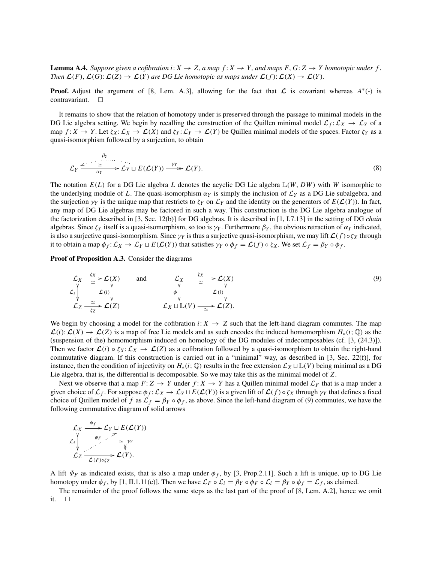**Lemma A.4.** *Suppose given a cofibration i*:  $X \to Z$ , a map  $f: X \to Y$ , and maps  $F, G: Z \to Y$  homotopic under f. *Then*  $\mathcal{L}(F)$ ,  $\mathcal{L}(G)$ :  $\mathcal{L}(Z) \to \mathcal{L}(Y)$  are DG Lie homotopic as maps under  $\mathcal{L}(f)$ :  $\mathcal{L}(X) \to \mathcal{L}(Y)$ .

**Proof.** Adjust the argument of [8, Lem. A.3], allowing for the fact that  $\mathcal{L}$  is covariant whereas  $A^*(-)$  is contravariant.  $\Box$ 

It remains to show that the relation of homotopy under is preserved through the passage to minimal models in the DG Lie algebra setting. We begin by recalling the construction of the Quillen minimal model  $\mathcal{L}_f: \mathcal{L}_X \to \mathcal{L}_Y$  of a map  $f: X \to Y$ . Let  $\zeta_X: \mathcal{L}_X \to \mathcal{L}(X)$  and  $\zeta_Y: \mathcal{L}_Y \to \mathcal{L}(Y)$  be Quillen minimal models of the spaces. Factor  $\zeta_Y$  as a quasi-isomorphism followed by a surjection, to obtain

$$
\mathcal{L}_Y \xrightarrow{\mathcal{L}_Y} \xrightarrow{\simeq} \mathcal{L}_Y \sqcup E(\mathcal{L}(Y)) \xrightarrow{\gamma_Y} \mathcal{L}(Y).
$$
\n(8)

The notation *E*(*L*) for a DG Lie algebra *L* denotes the acyclic DG Lie algebra L(*W*, *DW*) with *W* isomorphic to the underlying module of L. The quasi-isomorphism  $\alpha_Y$  is simply the inclusion of  $\mathcal{L}_Y$  as a DG Lie subalgebra, and the surjection  $\gamma_Y$  is the unique map that restricts to  $\zeta_Y$  on  $\mathcal{L}_Y$  and the identity on the generators of  $E(\mathcal{L}(Y))$ . In fact, any map of DG Lie algebras may be factored in such a way. This construction is the DG Lie algebra analogue of the factorization described in [3, Sec. 12(b)] for DG algebras. It is described in [1, I.7.13] in the setting of DG *chain* algebras. Since  $\zeta_Y$  itself is a quasi-isomorphism, so too is  $\gamma_Y$ . Furthermore  $\beta_Y$ , the obvious retraction of  $\alpha_Y$  indicated, is also a surjective quasi-isomorphism. Since  $\gamma_Y$  is thus a surjective quasi-isomorphism, we may lift  $\mathcal{L}(f) \circ \zeta_X$  through it to obtain a map  $\phi_f: \mathcal{L}_X \to \mathcal{L}_Y \sqcup E(\mathcal{L}(Y))$  that satisfies  $\gamma_Y \circ \phi_f = \mathcal{L}(f) \circ \zeta_X$ . We set  $\mathcal{L}_f = \beta_Y \circ \phi_f$ .

Proof of Proposition A.3. Consider the diagrams

$$
\mathcal{L}_X \xrightarrow{\zeta_X} \mathcal{L}(X) \qquad \text{and} \qquad \mathcal{L}_X \xrightarrow{\zeta_X} \mathcal{L}(X) \n\mathcal{L}_i \downarrow \qquad \qquad \mathcal{L}(i) \downarrow \qquad \qquad \phi \downarrow \qquad \qquad \mathcal{L}(i) \downarrow \qquad \qquad \mathcal{L}(j) \n\mathcal{L}_Z \xrightarrow{\simeq} \mathcal{L}(Z) \qquad \qquad \mathcal{L}_X \sqcup \mathbb{L}(V) \xrightarrow{\simeq} \mathcal{L}(Z).
$$
\n(9)

We begin by choosing a model for the cofibration  $i: X \to Z$  such that the left-hand diagram commutes. The map  $\mathcal{L}(i): \mathcal{L}(X) \to \mathcal{L}(Z)$  is a map of free Lie models and as such encodes the induced homomorphism  $H_*(i; \mathbb{Q})$  as the (suspension of the) homomorphism induced on homology of the DG modules of indecomposables (cf. [3, (24.3)]). Then we factor  $\mathcal{L}(i) \circ \zeta_X : \mathcal{L}_X \to \mathcal{L}(Z)$  as a cofibration followed by a quasi-isomorphism to obtain the right-hand commutative diagram. If this construction is carried out in a "minimal" way, as described in [3, Sec. 22(f)], for instance, then the condition of injectivity on  $H_*(i; \mathbb{Q})$  results in the free extension  $\mathcal{L}_X \sqcup \mathbb{L}(V)$  being minimal as a DG Lie algebra, that is, the differential is decomposable. So we may take this as the minimal model of *Z*.

Next we observe that a map  $F: Z \to Y$  under  $f: X \to Y$  has a Quillen minimal model  $\mathcal{L}_F$  that is a map under a given choice of  $\mathcal{L}_f$ . For suppose  $\phi_f: \mathcal{L}_X \to \mathcal{L}_Y \sqcup E(\mathcal{L}(Y))$  is a given lift of  $\mathcal{L}(f) \circ \zeta_X$  through  $\gamma_Y$  that defines a fixed choice of Quillen model of *f* as  $\mathcal{L}_f = \beta_Y \circ \phi_f$ , as above. Since the left-hand diagram of (9) commutes, we have the following commutative diagram of solid arrows

$$
\mathcal{L}_X \xrightarrow{\phi_f} \mathcal{L}_Y \sqcup E(\mathcal{L}(Y))
$$
\n
$$
\mathcal{L}_i \downarrow \qquad \downarrow \qquad \sim \searrow \searrow \searrow \swarrow \swarrow
$$
\n
$$
\mathcal{L}_Z \xrightarrow{\phi_F} \mathcal{L}(Y).
$$

A lift  $\Phi_F$  as indicated exists, that is also a map under  $\phi_f$ , by [3, Prop.2.11]. Such a lift is unique, up to DG Lie homotopy under  $\phi_f$ , by [1, II.1.11(c)]. Then we have  $\mathcal{L}_F \circ \mathcal{L}_i = \beta_Y \circ \phi_F \circ \mathcal{L}_i = \beta_Y \circ \phi_f = \mathcal{L}_f$ , as claimed.

The remainder of the proof follows the same steps as the last part of the proof of [8, Lem. A.2], hence we omit it.  $\square$